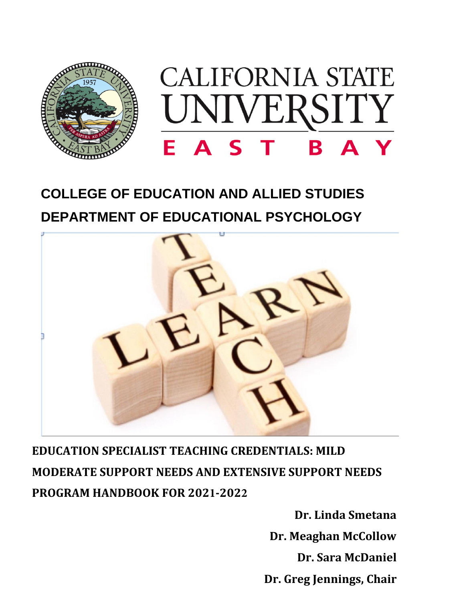

# **COLLEGE OF EDUCATION AND ALLIED STUDIES DEPARTMENT OF EDUCATIONAL PSYCHOLOGY**



**EDUCATION SPECIALIST TEACHING CREDENTIALS: MILD MODERATE SUPPORT NEEDS AND EXTENSIVE SUPPORT NEEDS PROGRAM HANDBOOK FOR 2021-2022**

> **Dr. Linda Smetana Dr. Meaghan McCollow Dr. Sara McDaniel Dr. Greg Jennings, Chair**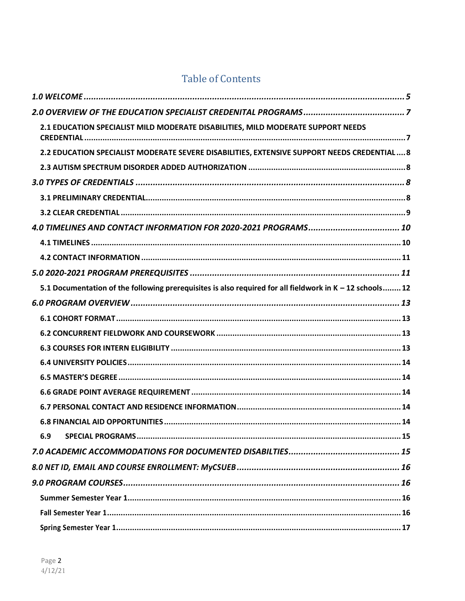# **Table of Contents**

| 2.1 EDUCATION SPECIALIST MILD MODERATE DISABILITIES, MILD MODERATE SUPPORT NEEDS                           |
|------------------------------------------------------------------------------------------------------------|
| 2.2 EDUCATION SPECIALIST MODERATE SEVERE DISABILITIES, EXTENSIVE SUPPORT NEEDS CREDENTIAL 8                |
|                                                                                                            |
|                                                                                                            |
|                                                                                                            |
|                                                                                                            |
|                                                                                                            |
|                                                                                                            |
|                                                                                                            |
|                                                                                                            |
| 5.1 Documentation of the following prerequisites is also required for all fieldwork in $K - 12$ schools 12 |
|                                                                                                            |
|                                                                                                            |
|                                                                                                            |
|                                                                                                            |
|                                                                                                            |
|                                                                                                            |
|                                                                                                            |
|                                                                                                            |
|                                                                                                            |
| 6.9                                                                                                        |
|                                                                                                            |
|                                                                                                            |
|                                                                                                            |
|                                                                                                            |
|                                                                                                            |
|                                                                                                            |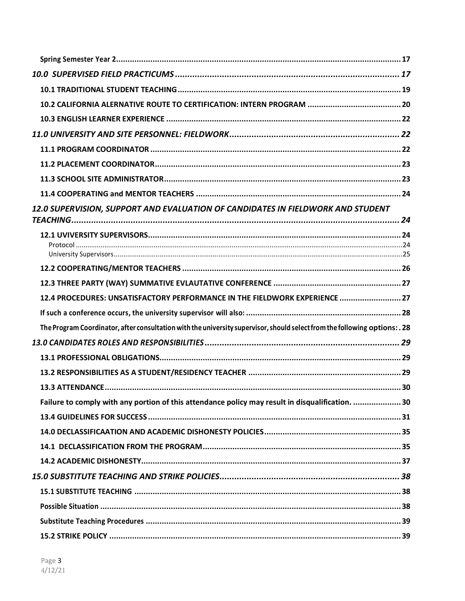| 12.0 SUPERVISION, SUPPORT AND EVALUATION OF CANDIDATES IN FIELDWORK AND STUDENT                                            |  |
|----------------------------------------------------------------------------------------------------------------------------|--|
|                                                                                                                            |  |
|                                                                                                                            |  |
|                                                                                                                            |  |
|                                                                                                                            |  |
|                                                                                                                            |  |
| 12.4 PROCEDURES: UNSATISFACTORY PERFORMANCE IN THE FIELDWORK EXPERIENCE 27                                                 |  |
|                                                                                                                            |  |
| The Program Coordinator, after consultation with the university supervisor, should select from the following options: . 28 |  |
|                                                                                                                            |  |
|                                                                                                                            |  |
|                                                                                                                            |  |
|                                                                                                                            |  |
| Failure to comply with any portion of this attendance policy may result in disqualification. 30                            |  |
|                                                                                                                            |  |
|                                                                                                                            |  |
|                                                                                                                            |  |
|                                                                                                                            |  |
|                                                                                                                            |  |
|                                                                                                                            |  |
|                                                                                                                            |  |
|                                                                                                                            |  |
|                                                                                                                            |  |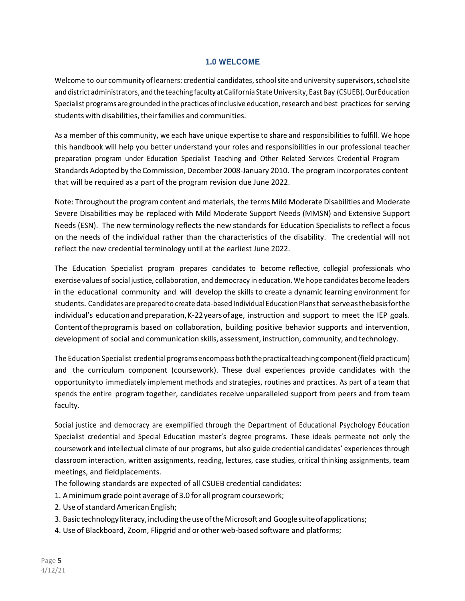#### **1.0 WELCOME**

<span id="page-4-0"></span>Welcome to our community of learners: credential candidates, school site and university supervisors, school site and district administrators, andtheteaching faculty at California StateUniversity, East Bay (CSUEB).OurEducation Specialist programs are grounded in the practices of inclusive education, research and best practices for serving students with disabilities, their families and communities.

As a member of this community, we each have unique expertise to share and responsibilities to fulfill. We hope this handbook will help you better understand your roles and responsibilities in our professional teacher preparation program under Education Specialist Teaching and Other Related Services Credential Program Standards Adopted by the Commission, December 2008-January 2010. The program incorporates content that will be required as a part of the program revision due June 2022.

Note: Throughout the program content and materials, the terms Mild Moderate Disabilities and Moderate Severe Disabilities may be replaced with Mild Moderate Support Needs (MMSN) and Extensive Support Needs (ESN). The new terminology reflects the new standards for Education Specialists to reflect a focus on the needs of the individual rather than the characteristics of the disability. The credential will not reflect the new credential terminology until at the earliest June 2022.

The Education Specialist program prepares candidates to become reflective, collegial professionals who exercise values of social justice, collaboration, and democracy in education. We hope candidates become leaders in the educational community and will develop the skills to create a dynamic learning environment for students. Candidates arepreparedto create data-based Individual EducationPlansthat serveasthebasisforthe individual's education and preparation, K-22 years of age, instruction and support to meet the IEP goals. Contentoftheprogramis based on collaboration, building positive behavior supports and intervention, development of social and communication skills, assessment, instruction, community, and technology.

The Education Specialist credential programs encompass both the practical teaching component (field practicum) and the curriculum component (coursework). These dual experiences provide candidates with the opportunityto immediately implement methods and strategies, routines and practices. As part of a team that spends the entire program together, candidates receive unparalleled support from peers and from team faculty.

Social justice and democracy are exemplified through the Department of Educational Psychology Education Specialist credential and Special Education master's degree programs. These ideals permeate not only the coursework and intellectual climate of our programs, but also guide credential candidates' experiences through classroom interaction, written assignments, reading, lectures, case studies, critical thinking assignments, team meetings, and field placements.

The following standards are expected of all CSUEB credential candidates:

- 1. Aminimumgrade point average of 3.0 for all programcoursework;
- 2. Use of standard American English;
- 3. Basic technology literacy, including the use of the Microsoft and Google suite of applications;
- 4. Use of Blackboard, Zoom, Flipgrid and or other web-based software and platforms;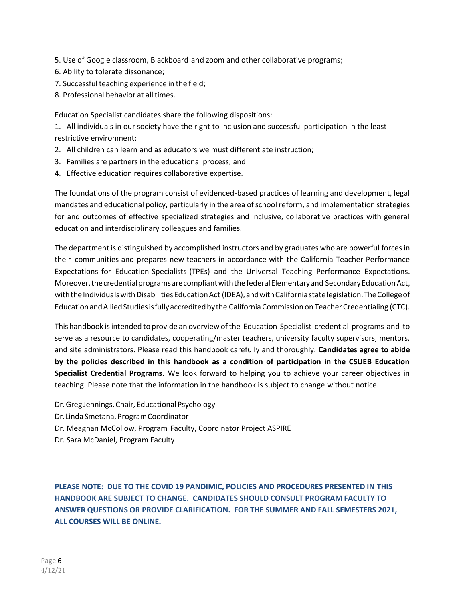5. Use of Google classroom, Blackboard and zoom and other collaborative programs;

- 6. Ability to tolerate dissonance;
- 7. Successful teaching experience in the field;
- 8. Professional behavior at all times.

Education Specialist candidates share the following dispositions:

1. All individuals in our society have the right to inclusion and successful participation in the least restrictive environment;

- 2. All children can learn and as educators we must differentiate instruction;
- 3. Families are partners in the educational process; and
- 4. Effective education requires collaborative expertise.

The foundations of the program consist of evidenced-based practices of learning and development, legal mandates and educational policy, particularly in the area of school reform, and implementation strategies for and outcomes of effective specialized strategies and inclusive, collaborative practices with general education and interdisciplinary colleagues and families.

The department is distinguished by accomplished instructors and by graduates who are powerful forces in their communities and prepares new teachers in accordance with the California Teacher Performance Expectations for Education Specialists (TPEs) and the Universal Teaching Performance Expectations. Moreover, the credential programs are compliant with the federal Elementary and Secondary Education Act, with the Individuals with Disabilities Education Act (IDEA), and with California state legislation. The College of Education and Allied Studies is fully accredited by the California Commission on Teacher Credentialing (CTC).

This handbook isintended to provide an overview ofthe Education Specialist credential programs and to serve as a resource to candidates, cooperating/master teachers, university faculty supervisors, mentors, and site administrators. Please read this handbook carefully and thoroughly. **Candidates agree to abide by the policies described in this handbook as a condition of participation in the CSUEB Education Specialist Credential Programs.** We look forward to helping you to achieve your career objectives in teaching. Please note that the information in the handbook is subject to change without notice.

- Dr. Greg Jennings, Chair, Educational Psychology
- Dr. Linda Smetana, Program Coordinator
- Dr. Meaghan McCollow, Program Faculty, Coordinator Project ASPIRE
- Dr. Sara McDaniel, Program Faculty

**PLEASE NOTE: DUE TO THE COVID 19 PANDIMIC, POLICIES AND PROCEDURES PRESENTED IN THIS HANDBOOK ARE SUBJECT TO CHANGE. CANDIDATES SHOULD CONSULT PROGRAM FACULTY TO ANSWER QUESTIONS OR PROVIDE CLARIFICATION. FOR THE SUMMER AND FALL SEMESTERS 2021, ALL COURSES WILL BE ONLINE.**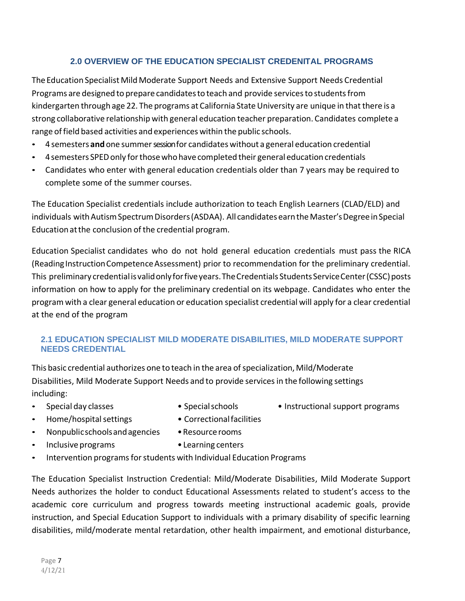#### **2.0 OVERVIEW OF THE EDUCATION SPECIALIST CREDENITAL PROGRAMS**

<span id="page-6-0"></span>The Education Specialist MildModerate Support Needs and Extensive Support Needs Credential Programs are designed to prepare candidates to teach and provide services to students from kindergarten through age 22. The programs at California State University are unique in that there is a strong collaborative relationship with general education teacher preparation. Candidates complete a range of field based activities and experiences within the public schools.

- 4 semesters **and**one summersession for candidates without a general education credential
- 4semesters SPEDonly forthosewhohave completed their general education credentials
- Candidates who enter with general education credentials older than 7 years may be required to complete some of the summer courses.

The Education Specialist credentials include authorization to teach English Learners (CLAD/ELD) and individuals with Autism Spectrum Disorders (ASDAA). All candidates earn the Master's Degree in Special Educationatthe conclusion of the credential program.

Education Specialist candidates who do not hold general education credentials must pass the RICA (Reading Instruction Competence Assessment) prior to recommendation for the preliminary credential. This preliminary credential is valid only for five years. The Credentials Students Service Center (CSSC) posts information on how to apply for the preliminary credential on its webpage. Candidates who enter the program with a clear general education or education specialist credential will apply for a clear credential at the end of the program

#### <span id="page-6-1"></span>**2.1 EDUCATION SPECIALIST MILD MODERATE DISABILITIES, MILD MODERATE SUPPORT NEEDS CREDENTIAL**

This basic credential authorizes one to teach in the area ofspecialization, Mild/Moderate Disabilities, Mild Moderate Support Needs and to provide servicesin the following settings including:

- 
- Special day classes Special schools Instructional support programs
- Home/hospital settings Correctional facilities
	-
- Nonpublicschools and agencies Resource rooms
	-
- Inclusive programs Learning centers
- 
- Intervention programs for students with Individual Education Programs

The Education Specialist Instruction Credential: Mild/Moderate Disabilities, Mild Moderate Support Needs authorizes the holder to conduct Educational Assessments related to student's access to the academic core curriculum and progress towards meeting instructional academic goals, provide instruction, and Special Education Support to individuals with a primary disability of specific learning disabilities, mild/moderate mental retardation, other health impairment, and emotional disturbance,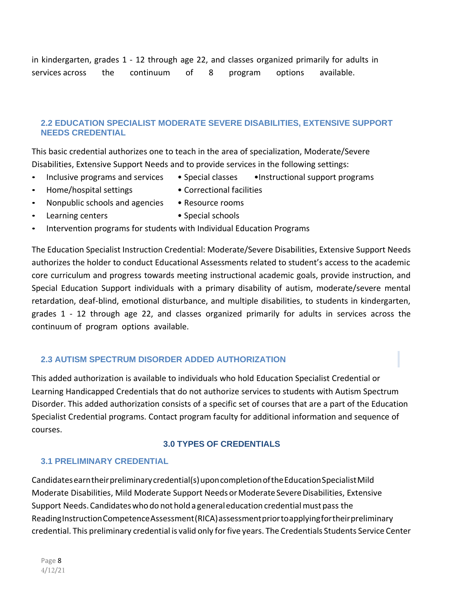in kindergarten, grades 1 - 12 through age 22, and classes organized primarily for adults in services across the continuum of 8 program options available.

### <span id="page-7-0"></span>**2.2 EDUCATION SPECIALIST MODERATE SEVERE DISABILITIES, EXTENSIVE SUPPORT NEEDS CREDENTIAL**

This basic credential authorizes one to teach in the area of specialization, Moderate/Severe Disabilities, Extensive Support Needs and to provide services in the following settings:

- 
- Inclusive programs and services Special classes •Instructional support programs
- Home/hospital settings Correctional facilities
	-
- Nonpublic schools and agencies Resource rooms
- Learning centers Special schools
- Intervention programs for students with Individual Education Programs

The Education Specialist Instruction Credential: Moderate/Severe Disabilities, Extensive Support Needs authorizes the holder to conduct Educational Assessments related to student's access to the academic core curriculum and progress towards meeting instructional academic goals, provide instruction, and Special Education Support individuals with a primary disability of autism, moderate/severe mental retardation, deaf-blind, emotional disturbance, and multiple disabilities, to students in kindergarten, grades 1 - 12 through age 22, and classes organized primarily for adults in services across the continuum of program options available.

# <span id="page-7-1"></span>**2.3 AUTISM SPECTRUM DISORDER ADDED AUTHORIZATION**

This added authorization is available to individuals who hold Education Specialist Credential or Learning Handicapped Credentials that do not authorize services to students with Autism Spectrum Disorder. This added authorization consists of a specific set of courses that are a part of the Education Specialist Credential programs. Contact program faculty for additional information and sequence of courses.

# **3.0 TYPES OF CREDENTIALS**

# <span id="page-7-3"></span><span id="page-7-2"></span>**3.1 PRELIMINARY CREDENTIAL**

Candidatesearntheirpreliminarycredential(s)uponcompletionoftheEducationSpecialistMild Moderate Disabilities, Mild Moderate Support Needs orModerate SevereDisabilities, Extensive Support Needs.Candidateswhodo notholda generaleducation credentialmustpass the ReadingInstructionCompetenceAssessment(RICA)assessmentpriortoapplyingfortheirpreliminary credential. This preliminary credential is valid only forfive years. The Credentials Students Service Center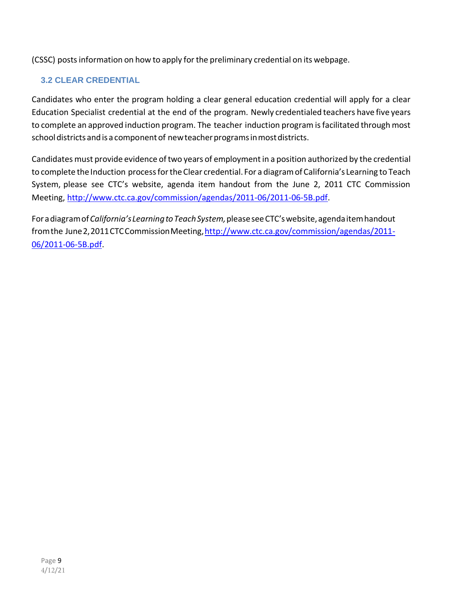(CSSC) postsinformation on how to apply forthe preliminary credential on its webpage.

# <span id="page-8-0"></span>**3.2 CLEAR CREDENTIAL**

Candidates who enter the program holding a clear general education credential will apply for a clear Education Specialist credential at the end of the program. Newly credentialed teachers have five years to complete an approved induction program. The teacher induction program is facilitated through most school districts and is a component of new teacher programs in most districts.

Candidates must provide evidence of two years of employment in a position authorized by the credential to complete the Induction processfortheClear credential. For a diagramof California's Learning to Teach System, please see CTC's website, agenda item handout from the June 2, 2011 CTC Commission Meeting, [http://www.ctc.ca.gov/commission/agendas/2011-06/2011-06-5B.pdf.](http://www.ctc.ca.gov/commission/agendas/2011-06/2011-06-5B.pdf)

Foradiagramof*California'sLearningtoTeachSystem,*pleaseseeCTC'swebsite,agendaitemhandout from the June 2, 2011 CTC Commission Meeting, http://www.ctc.ca.gov/commission/agendas/2011-[06/2011-06-5B.pdf.](http://www.ctc.ca.gov/commission/agendas/2011-06/2011-06-5B.pdf)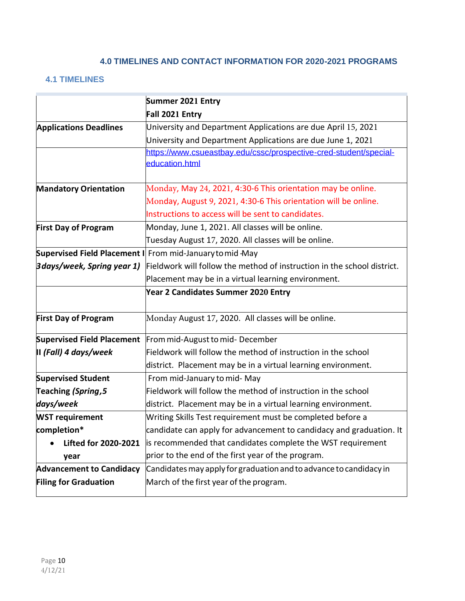# <span id="page-9-0"></span>**4.0 TIMELINES AND CONTACT INFORMATION FOR 2020-2021 PROGRAMS**

### <span id="page-9-1"></span> **4.1 TIMELINES**

|                                   | Summer 2021 Entry<br>Fall 2021 Entry                                                |
|-----------------------------------|-------------------------------------------------------------------------------------|
| <b>Applications Deadlines</b>     | University and Department Applications are due April 15, 2021                       |
|                                   | University and Department Applications are due June 1, 2021                         |
|                                   | https://www.csueastbay.edu/cssc/prospective-cred-student/special-<br>education.html |
| <b>Mandatory Orientation</b>      | Monday, May 24, 2021, 4:30-6 This orientation may be online.                        |
|                                   | Monday, August 9, 2021, 4:30-6 This orientation will be online.                     |
|                                   | Instructions to access will be sent to candidates.                                  |
| <b>First Day of Program</b>       | Monday, June 1, 2021. All classes will be online.                                   |
|                                   | Tuesday August 17, 2020. All classes will be online.                                |
|                                   | Supervised Field Placement I From mid-January to mid-May                            |
| 3 days/week, Spring year 1)       | Fieldwork will follow the method of instruction in the school district.             |
|                                   | Placement may be in a virtual learning environment.                                 |
|                                   | Year 2 Candidates Summer 2020 Entry                                                 |
| <b>First Day of Program</b>       | Monday August 17, 2020. All classes will be online.                                 |
| <b>Supervised Field Placement</b> | From mid-August to mid-December                                                     |
| II (Fall) 4 days/week             | Fieldwork will follow the method of instruction in the school                       |
|                                   | district. Placement may be in a virtual learning environment.                       |
| <b>Supervised Student</b>         | From mid-January to mid-May                                                         |
| Teaching (Spring, 5               | Fieldwork will follow the method of instruction in the school                       |
| days/week                         | district. Placement may be in a virtual learning environment.                       |
| <b>WST requirement</b>            | Writing Skills Test requirement must be completed before a                          |
| completion*                       | candidate can apply for advancement to candidacy and graduation. It                 |
| Lifted for 2020-2021              | is recommended that candidates complete the WST requirement                         |
| year                              | prior to the end of the first year of the program.                                  |
| <b>Advancement to Candidacy</b>   | Candidates may apply for graduation and to advance to candidacy in                  |
| <b>Filing for Graduation</b>      | March of the first year of the program.                                             |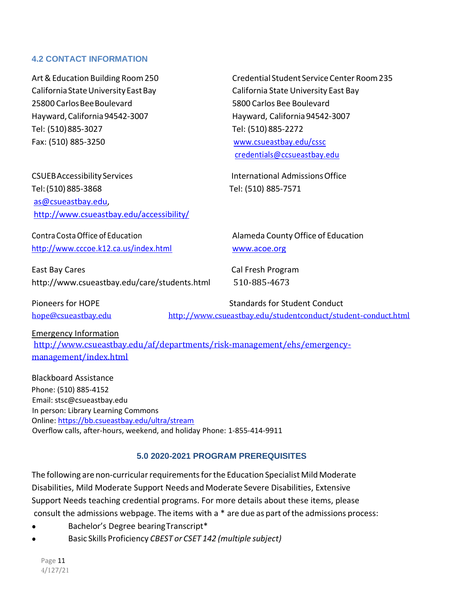#### <span id="page-10-0"></span>**4.2 CONTACT INFORMATION**

25800 CarlosBeeBoulevard 5800 Carlos Bee Boulevard Hayward,California94542-3007 Hayward, California94542-3007 Tel: (510)885-3027 Tel: (510) 885-2272 Fax: (510) 885-3250 [www.csueastbay.edu/cssc](http://www.csueastbay.edu/cssc)

Art & Education Building Room 250 Credential Student Service Center Room 235 CaliforniaStateUniversityEastBay California State University East Bay [credentials@ccsueastbay.edu](mailto:credentials@ccsueastbay.edu)

CSUEB Accessibility Services **International Admissions** Office Tel:(510) 885-3868 Tel: (510) 885-7571 [as@csueastbay.edu,](mailto:as@csueastbay.edu) <http://www.csueastbay.edu/accessibility/>

Contra CostaOffice of Education Alameda County Office of Education <http://www.cccoe.k12.ca.us/index.html> [www.acoe.org](http://www.acoe.org/)

East Bay Cares Cal Fresh Program <http://www.csueastbay.edu/care/students.html>510-885-4673

Pioneers for HOPE The Standards for Student Conduct [hope@csueastbay.edu](mailto:hope@csueastbay.edu) <http://www.csueastbay.edu/studentconduct/student-conduct.html>

#### Emergency Information

[http://www.csueastbay.edu/af/departments/risk-management/ehs/emergency](http://www.csueastbay.edu/af/departments/risk-management/ehs/emergency-management/index.html)[management/index.html](http://www.csueastbay.edu/af/departments/risk-management/ehs/emergency-management/index.html)

Blackboard Assistance Phone: (510) 885-4152 Email: stsc@csueastbay.edu In person: Library Learning Commons Online:<https://bb.csueastbay.edu/ultra/stream> Overflow calls, after-hours, weekend, and holiday Phone: 1-855-414-9911

#### **5.0 2020-2021 PROGRAM PREREQUISITES**

<span id="page-10-1"></span>The following are non-curricular requirements for the Education Specialist Mild Moderate Disabilities, Mild Moderate Support Needs and Moderate Severe Disabilities, Extensive Support Needs teaching credential programs. For more details about these items, please consult the admissions webpage. The items with a \* are due as part of the admissions process:

- Bachelor's Degree bearing Transcript\*
- Basic Skills Proficiency *CBEST or CSET 142 (multiple subject)*

Page 11 4/127/21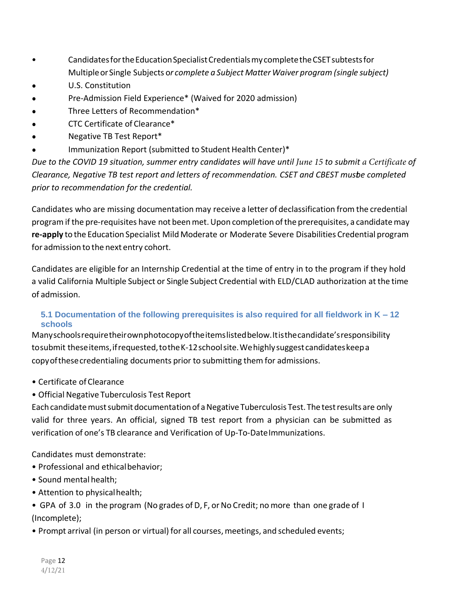- CandidatesfortheEducationSpecialistCredentialsmycompletetheCSETsubtestsfor MultipleorSingle Subjects o*r complete a Subject MatterWaiver program (single subject)*
- U.S. Constitution
- Pre-Admission Field Experience\* (Waived for 2020 admission)
- Three Letters of Recommendation\*
- CTC Certificate of Clearance\*
- Negative TB Test Report\*
- Immunization Report (submitted to Student Health Center)\*

*Due to the COVID 19 situation, summer entry candidates will have until June 15 to submit a Certificate of Clearance, Negative TB test report and letters of recommendation. CSET and CBEST mustbe completed prior to recommendation for the credential.*

Candidates who are missing documentation may receive a letter of declassification from the credential program if the pre-requisites have not beenmet.Upon completion ofthe prerequisites, a candidatemay **re-apply** to the Education Specialist Mild Moderate or Moderate Severe Disabilities Credential program for admission to the next entry cohort.

Candidates are eligible for an Internship Credential at the time of entry in to the program if they hold a valid California Multiple Subject or Single Subject Credential with ELD/CLAD authorization at the time of admission.

# <span id="page-11-0"></span>**5.1 Documentation of the following prerequisites is also required for all fieldwork in K – 12 schools**

Manyschoolsrequiretheirownphotocopyoftheitemslistedbelow.Itisthecandidate'sresponsibility tosubmit these items, if requested, to the K-12 school site. We highly suggest candidates keep a copyofthesecredentialing documents prior to submitting them for admissions.

- Certificate of Clearance
- Official Negative Tuberculosis Test Report

Each candidate must submit documentation of a Negative Tuberculosis Test. The test results are only valid for three years. An official, signed TB test report from a physician can be submitted as verification of one's TB clearance and Verification of Up-To-DateImmunizations.

Candidates must demonstrate:

- Professional and ethicalbehavior;
- Sound mental health;
- Attention to physical health;

• GPA of 3.0 in the program (No grades of D, F, or No Credit; no more than one grade of I (Incomplete);

• Prompt arrival (in person or virtual) for all courses, meetings, and scheduled events;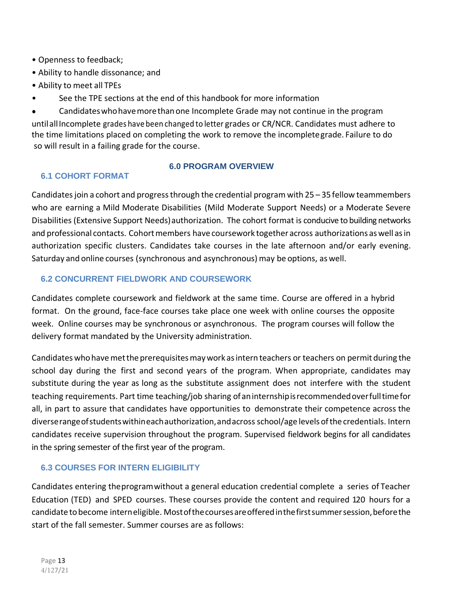- Openness to feedback;
- Ability to handle dissonance; and
- Ability to meet all TPEs
- See the TPE sections at the end of this handbook for more information

Candidates who have more than one Incomplete Grade may not continue in the program untilallIncomplete grades have been changed to letter grades or CR/NCR. Candidates must adhere to the time limitations placed on completing the work to remove the incompletegrade. Failure to do so will result in a failing grade for the course.

# <span id="page-12-1"></span><span id="page-12-0"></span>**6.1 COHORT FORMAT**

# **6.0 PROGRAM OVERVIEW**

Candidates join a cohort and progress through the credential program with 25 – 35 fellow teammembers who are earning a Mild Moderate Disabilities (Mild Moderate Support Needs) or a Moderate Severe Disabilities (Extensive Support Needs) authorization. The cohort format is conducive to building networks and professional contacts. Cohort members have coursework together across authorizations as well as in authorization specific clusters. Candidates take courses in the late afternoon and/or early evening. Saturday and online courses (synchronous and asynchronous) may be options, as well.

# <span id="page-12-2"></span>**6.2 CONCURRENT FIELDWORK AND COURSEWORK**

Candidates complete coursework and fieldwork at the same time. Course are offered in a hybrid format. On the ground, face-face courses take place one week with online courses the opposite week. Online courses may be synchronous or asynchronous. The program courses will follow the delivery format mandated by the University administration.

Candidates who have met the prerequisites may work as intern teachers or teachers on permit during the school day during the first and second years of the program. When appropriate, candidates may substitute during the year as long as the substitute assignment does not interfere with the student teaching requirements. Part time teaching/job sharing ofaninternshipisrecommendedoverfulltimefor all, in part to assure that candidates have opportunities to demonstrate their competence across the diverserangeofstudentswithineachauthorization,andacross school/age levels ofthe credentials. Intern candidates receive supervision throughout the program. Supervised fieldwork begins for all candidates in the spring semester of the first year of the program.

# <span id="page-12-3"></span>**6.3 COURSES FOR INTERN ELIGIBILITY**

Candidates entering theprogramwithout a general education credential complete a series of Teacher Education (TED) and SPED courses. These courses provide the content and required 120 hours for a candidate tobecome interneligible. Mostofthecoursesareofferedinthefirstsummersession,beforethe start of the fall semester. Summer courses are as follows: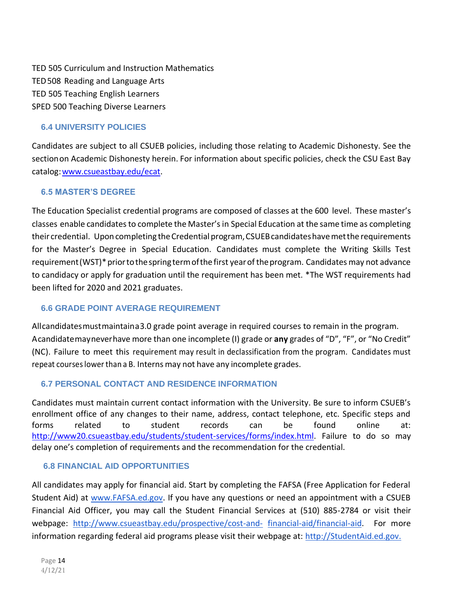TED 505 Curriculum and Instruction Mathematics TED508 Reading and Language Arts TED 505 Teaching English Learners SPED 500 Teaching Diverse Learners

#### <span id="page-13-0"></span>**6.4 UNIVERSITY POLICIES**

Candidates are subject to all CSUEB policies, including those relating to Academic Dishonesty. See the sectionon Academic Dishonesty herein. For information about specific policies, check the CSU East Bay catalog[:www.csueastbay.edu/ecat.](http://www.csueastbay.edu/ecat)

#### <span id="page-13-1"></span>**6.5 MASTER'S DEGREE**

The Education Specialist credential programs are composed of classes at the 600 level. These master's classes enable candidates to complete the Master's in Special Education at the same time as completing their credential. Upon completing the Credential program, CSUEB candidates have met the requirements for the Master's Degree in Special Education. Candidates must complete the Writing Skills Test requirement (WST)\* prior to the spring term of the first year of the program. Candidates may not advance to candidacy or apply for graduation until the requirement has been met. \*The WST requirements had been lifted for 2020 and 2021 graduates.

#### <span id="page-13-2"></span>**6.6 GRADE POINT AVERAGE REQUIREMENT**

Allcandidatesmustmaintaina3.0 grade point average in required courses to remain in the program. Acandidatemayneverhave more than one incomplete (I) grade or **any** grades of "D", "F", or "No Credit" (NC). Failure to meet this requirement may result in declassification from the program. Candidates must repeat courseslower than a B. Interns may not have any incomplete grades.

#### <span id="page-13-3"></span>**6.7 PERSONAL CONTACT AND RESIDENCE INFORMATION**

Candidates must maintain current contact information with the University. Be sure to inform CSUEB's enrollment office of any changes to their name, address, contact telephone, etc. Specific steps and forms related to student records can be found online at: [http://www20.csueastbay.edu/students/student-services/forms/index.html. F](http://www20.csueastbay.edu/students/student-services/forms/index.html)ailure to do so may delay one's completion of requirements and the recommendation for the credential.

#### <span id="page-13-4"></span>**6.8 FINANCIAL AID OPPORTUNITIES**

All candidates may apply for financial aid. Start by completing the FAFSA (Free Application for Federal Student Aid) at [www.FAFSA.ed.gov.](http://www.fafsa.ed.gov/) If you have any questions or need an appointment with a CSUEB Financial Aid Officer, you may call the Student Financial Services at (510) 885-2784 or visit their webpag[e: http://www.csueastbay.edu/prospective/cost-and-](http://www.csueastbay.edu/prospective/cost-and-financial-aid/financial-aid) [financial-aid/financial-aid.](http://www.csueastbay.edu/prospective/cost-and-financial-aid/financial-aid) For more information regarding federal aid programs please visit their webpage at[: http://StudentAid.ed.gov.](http://studentaid.ed.gov/)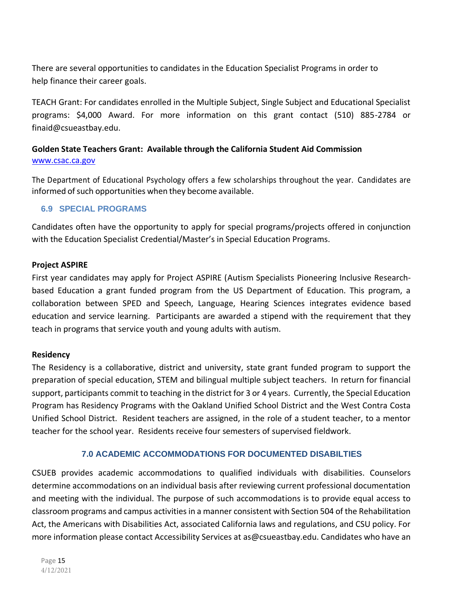There are several opportunities to candidates in the Education Specialist Programs in order to help finance their career goals.

TEACH Grant: For candidates enrolled in the Multiple Subject, Single Subject and Educational Specialist programs: \$4,000 Award. For more information on this grant contact (510) 885-2784 or [finaid@csueastbay.edu.](mailto:finaid@csueastbay.edu)

# **Golden State Teachers Grant: Available through the California Student Aid Commission** [www.csac.ca.gov](http://www.csac.ca.gov/)

The Department of Educational Psychology offers a few scholarships throughout the year. Candidates are informed of such opportunities when they become available.

# <span id="page-14-0"></span>**6.9 SPECIAL PROGRAMS**

Candidates often have the opportunity to apply for special programs/projects offered in conjunction with the Education Specialist Credential/Master's in Special Education Programs.

#### **Project ASPIRE**

First year candidates may apply for Project ASPIRE (Autism Specialists Pioneering Inclusive Researchbased Education a grant funded program from the US Department of Education. This program, a collaboration between SPED and Speech, Language, Hearing Sciences integrates evidence based education and service learning. Participants are awarded a stipend with the requirement that they teach in programs that service youth and young adults with autism.

#### **Residency**

The Residency is a collaborative, district and university, state grant funded program to support the preparation of special education, STEM and bilingual multiple subject teachers. In return for financial support, participants commit to teaching in the district for 3 or 4 years. Currently, the Special Education Program has Residency Programs with the Oakland Unified School District and the West Contra Costa Unified School District. Resident teachers are assigned, in the role of a student teacher, to a mentor teacher for the school year. Residents receive four semesters of supervised fieldwork.

#### **7.0 ACADEMIC ACCOMMODATIONS FOR DOCUMENTED DISABILTIES**

<span id="page-14-1"></span>CSUEB provides academic accommodations to qualified individuals with disabilities. Counselors determine accommodations on an individual basis after reviewing current professional documentation and meeting with the individual. The purpose of such accommodations is to provide equal access to classroom programs and campus activities in a manner consistent with Section 504 of the Rehabilitation Act, the Americans with Disabilities Act, associated California laws and regulations, and CSU policy. For more information please contact Accessibility Services at [as@csueastbay.edu.](mailto:as@csueastbay.edu) Candidates who have an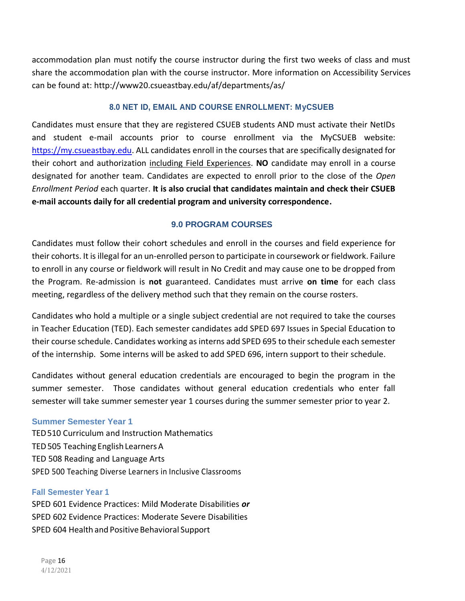accommodation plan must notify the course instructor during the first two weeks of class and must share the accommodation plan with the course instructor. More information on Accessibility Services can be found at:<http://www20.csueastbay.edu/af/departments/as/>

#### **8.0 NET ID, EMAIL AND COURSE ENROLLMENT: MyCSUEB**

<span id="page-15-0"></span>Candidates must ensure that they are registered CSUEB students AND must activate their NetIDs and student e-mail accounts prior to course enrollment via the MyCSUEB website: [https://my.csueastbay.edu. A](https://my.csueastbay.edu/)LL candidates enroll in the courses that are specifically designated for their cohort and authorization including Field Experiences. **NO** candidate may enroll in a course designated for another team. Candidates are expected to enroll prior to the close of the *Open Enrollment Period* each quarter. **It is also crucial that candidates maintain and check their CSUEB e-mail accounts daily for all credential program and university correspondence.**

# **9.0 PROGRAM COURSES**

<span id="page-15-1"></span>Candidates must follow their cohort schedules and enroll in the courses and field experience for their cohorts. It is illegal for an un-enrolled person to participate in coursework or fieldwork. Failure to enroll in any course or fieldwork will result in No Credit and may cause one to be dropped from the Program. Re-admission is **not** guaranteed. Candidates must arrive **on time** for each class meeting, regardless of the delivery method such that they remain on the course rosters.

Candidates who hold a multiple or a single subject credential are not required to take the courses in Teacher Education (TED). Each semester candidates add SPED 697 Issues in Special Education to their course schedule. Candidates working as interns add SPED 695 to their schedule each semester of the internship. Some interns will be asked to add SPED 696, intern support to their schedule.

Candidates without general education credentials are encouraged to begin the program in the summer semester. Those candidates without general education credentials who enter fall semester will take summer semester year 1 courses during the summer semester prior to year 2.

#### <span id="page-15-2"></span>**Summer Semester Year 1**

TED510 Curriculum and Instruction Mathematics TED 505 Teaching English Learners A TED 508 Reading and Language Arts SPED 500 Teaching Diverse Learners in Inclusive Classrooms

#### <span id="page-15-3"></span>**Fall Semester Year 1**

SPED 601 Evidence Practices: Mild Moderate Disabilities *or* SPED 602 Evidence Practices: Moderate Severe Disabilities SPED 604 Health and Positive Behavioral Support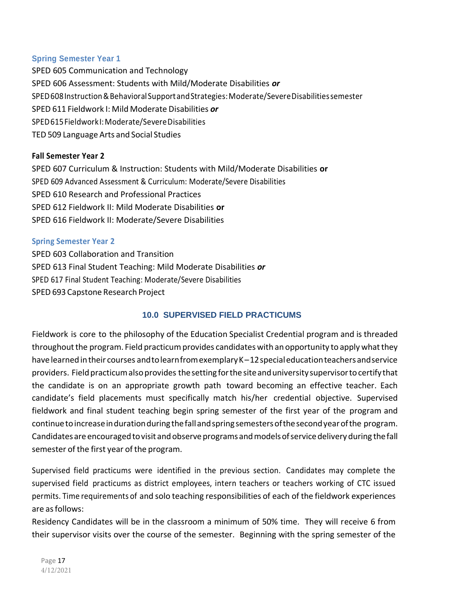#### <span id="page-16-0"></span>**Spring Semester Year 1**

SPED 605 Communication and Technology SPED 606 Assessment: Students with Mild/Moderate Disabilities *or* SPED608Instruction&Behavioral SupportandStrategies:Moderate/SevereDisabilitiessemester SPED 611 Fieldwork I: Mild Moderate Disabilities *or* SPED615FieldworkI:Moderate/SevereDisabilities TED 509 Language Arts and Social Studies

#### **Fall Semester Year 2**

SPED 607 Curriculum & Instruction: Students with Mild/Moderate Disabilities **or** SPED 609 Advanced Assessment & Curriculum: Moderate/Severe Disabilities SPED 610 Research and Professional Practices SPED 612 Fieldwork II: Mild Moderate Disabilities **or** SPED 616 Fieldwork II: Moderate/Severe Disabilities

#### <span id="page-16-1"></span>**Spring Semester Year 2**

SPED 603 Collaboration and Transition SPED 613 Final Student Teaching: Mild Moderate Disabilities *or* SPED 617 Final Student Teaching: Moderate/Severe Disabilities SPED 693 Capstone Research Project

#### **10.0 SUPERVISED FIELD PRACTICUMS**

<span id="page-16-2"></span>Fieldwork is core to the philosophy of the Education Specialist Credential program and is threaded throughout the program. Field practicum provides candidates with an opportunity to apply what they have learned in their courses and to learn from exemplary K-12 special education teachers and service providers. Field practicum also provides the setting for the site and university supervisor to certify that the candidate is on an appropriate growth path toward becoming an effective teacher. Each candidate's field placements must specifically match his/her credential objective. Supervised fieldwork and final student teaching begin spring semester of the first year of the program and continuetoincreaseindurationduringthefallandspringsemestersofthesecondyearofthe program. Candidates are encouraged to visit and observe programs and models of service delivery during the fall semester of the first year of the program.

Supervised field practicums were identified in the previous section. Candidates may complete the supervised field practicums as district employees, intern teachers or teachers working of CTC issued permits. Time requirements of and solo teaching responsibilities of each of the fieldwork experiences are asfollows:

Residency Candidates will be in the classroom a minimum of 50% time. They will receive 6 from their supervisor visits over the course of the semester. Beginning with the spring semester of the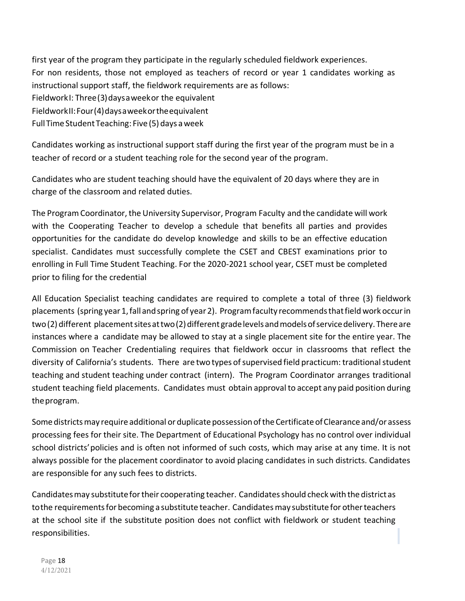first year of the program they participate in the regularly scheduled fieldwork experiences. For non residents, those not employed as teachers of record or year 1 candidates working as instructional support staff, the fieldwork requirements are as follows: FieldworkI: Three(3) daysa weekor the equivalent FieldworkII:Four(4)daysaweekortheequivalent Full Time Student Teaching: Five (5) days aweek

Candidates working as instructional support staff during the first year of the program must be in a teacher of record or a student teaching role for the second year of the program.

Candidates who are student teaching should have the equivalent of 20 days where they are in charge of the classroom and related duties.

The ProgramCoordinator, the University Supervisor, Program Faculty and the candidate will work with the Cooperating Teacher to develop a schedule that benefits all parties and provides opportunities for the candidate do develop knowledge and skills to be an effective education specialist. Candidates must successfully complete the CSET and CBEST examinations prior to enrolling in Full Time Student Teaching. For the 2020-2021 school year, CSET must be completed prior to filing for the credential

All Education Specialist teaching candidates are required to complete a total of three (3) fieldwork placements (spring year 1,fall andspring of year 2). Programfaculty recommendsthatfield workoccurin two(2) different placement sites at two(2) different grade levels and models of service delivery. There are instances where a candidate may be allowed to stay at a single placement site for the entire year. The Commission on Teacher Credentialing requires that fieldwork occur in classrooms that reflect the diversity of California's students. There are two types of supervised field practicum: traditional student teaching and student teaching under contract (intern). The Program Coordinator arranges traditional student teaching field placements. Candidates must obtain approval to accept any paid position during theprogram.

Some districts may require additional or duplicate possession of the Certificate of Clearance and/or assess processing fees for their site. The Department of Educational Psychology has no control over individual school districts'policies and is often not informed of such costs, which may arise at any time. It is not always possible for the placement coordinator to avoid placing candidates in such districts. Candidates are responsible for any such fees to districts.

Candidates may substitute for their cooperating teacher. Candidates should check with the district as to the requirements for becoming a substitute teacher. Candidates may substitute for other teachers at the school site if the substitute position does not conflict with fieldwork or student teaching responsibilities.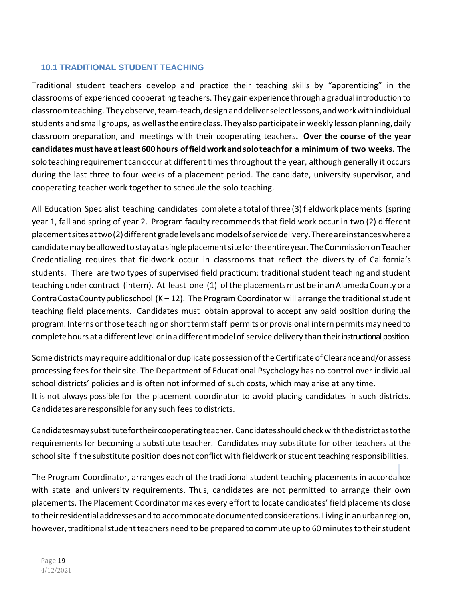### <span id="page-18-0"></span>**10.1 TRADITIONAL STUDENT TEACHING**

Traditional student teachers develop and practice their teaching skills by "apprenticing" in the classrooms of experienced cooperating teachers.They gainexperiencethrougha gradual introductionto classroom teaching. They observe, team-teach, design and deliver select lessons, and work with individual students and small groups, aswellastheentireclass.Theyalsoparticipateinweekly lessonplanning,daily classroom preparation, and meetings with their cooperating teachers**. Over the course of the year candidatesmusthaveatleast600hours offieldworkandsoloteachfor a minimum of two weeks.** The soloteachingrequirementcanoccur at different times throughout the year, although generally it occurs during the last three to four weeks of a placement period. The candidate, university supervisor, and cooperating teacher work together to schedule the solo teaching.

All Education Specialist teaching candidates complete a total of three (3) fieldwork placements (spring year 1, fall and spring of year 2. Program faculty recommends that field work occur in two (2) different placementsitesattwo(2)differentgradelevelsandmodelsofservicedelivery.Thereareinstanceswherea candidatemaybeallowedtostayatasingleplacementsitefortheentireyear. TheCommissiononTeacher Credentialing requires that fieldwork occur in classrooms that reflect the diversity of California's students. There are two types of supervised field practicum: traditional student teaching and student teaching under contract (intern). At least one (1) of the placements must be in an Alameda County or a Contra Costa Countypublics chool  $(K - 12)$ . The Program Coordinator will arrange the traditional student teaching field placements. Candidates must obtain approval to accept any paid position during the program. Interns or those teaching on short term staff permits or provisional intern permits may need to complete hours at a different level or in a different model of service delivery than their instructional position.

Some districts may require additional or duplicate possession of the Certificate of Clearance and/or assess processing fees for their site. The Department of Educational Psychology has no control over individual school districts' policies and is often not informed of such costs, which may arise at any time. It is not always possible for the placement coordinator to avoid placing candidates in such districts. Candidates are responsible for any such fees todistricts.

Candidatesmaysubstitutefortheircooperatingteacher. Candidatesshouldcheckwiththedistrictastothe requirements for becoming a substitute teacher. Candidates may substitute for other teachers at the school site if the substitute position does not conflict with fieldwork or student teaching responsibilities.

The Program Coordinator, arranges each of the traditional student teaching placements in accordance with state and university requirements. Thus, candidates are not permitted to arrange their own placements. The Placement Coordinator makes every effort to locate candidates' field placements close totheirresidential addressesandto accommodatedocumentedconsiderations. Living inanurbanregion, however, traditional student teachers need to be prepared to commute up to 60 minutes to their student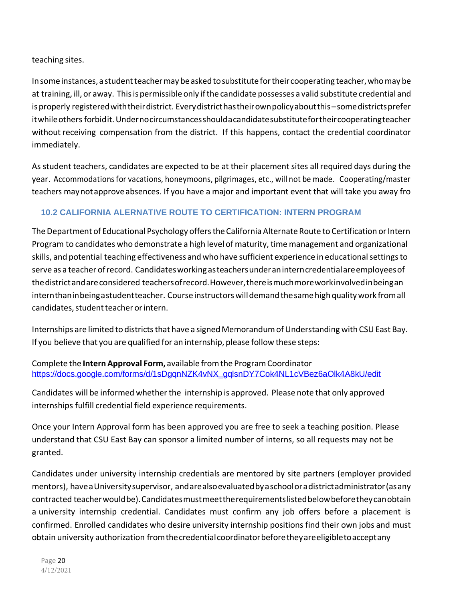teaching sites.

In some instances, a student teacher may be asked to substitute for their cooperating teacher, who may be at training, ill, or away. This is permissible only if the candidate possesses a valid substitute credential and is properly registered with their district. Every district has their own policy about this – some districts prefer itwhileothers forbidit.Undernocircumstancesshouldacandidatesubstitutefortheircooperatingteacher without receiving compensation from the district. If this happens, contact the credential coordinator immediately.

As student teachers, candidates are expected to be at their placement sites all required days during the year. Accommodations for vacations, honeymoons, pilgrimages, etc., will not be made. Cooperating/master teachers maynotapproveabsences. If you have a major and important event that will take you away fro

# <span id="page-19-0"></span>**10.2 CALIFORNIA ALERNATIVE ROUTE TO CERTIFICATION: INTERN PROGRAM**

The Department of Educational Psychology offers the California Alternate Route to Certification or Intern Program to candidates who demonstrate a high level of maturity, time management and organizational skills, and potential teaching effectiveness andwho have sufficient experience in educationalsettingsto serve as a teacher ofrecord. Candidatesworkingasteachersunderaninterncredentialareemployeesof thedistrictandareconsidered teachersofrecord.However,thereismuchmoreworkinvolvedinbeingan internthan in being a student teacher. Course instructors will demand the same high quality work from all candidates, student teacher or intern.

Internships are limited to districts that have a signed Memorandum of Understanding with CSU East Bay. If you believe that you are qualified for an internship, please follow these steps:

Complete the **Intern Approval Form,** available fromthe ProgramCoordinator [https://docs.google.com/forms/d/1sDgqnNZK4vNX\\_gqlsnDY7Cok4NL1cVBez6aOlk4A8kU/edit](https://docs.google.com/forms/d/1sDgqnNZK4vNX_gqlsnDY7Cok4NL1cVBez6aOlk4A8kU/edit)

Candidates will be informed whether the internship is approved. Please note that only approved internships fulfill credential field experience requirements.

Once your Intern Approval form has been approved you are free to seek a teaching position. Please understand that CSU East Bay can sponsor a limited number of interns, so all requests may not be granted.

Candidates under university internship credentials are mentored by site partners (employer provided mentors), haveaUniversitysupervisor, andarealsoevaluatedbyaschooloradistrictadministrator(asany contracted teacherwouldbe).Candidatesmustmeettherequirementslistedbelowbeforetheycanobtain a university internship credential. Candidates must confirm any job offers before a placement is confirmed. Enrolled candidates who desire university internship positions find their own jobs and must obtain university authorization fromthecredentialcoordinatorbeforetheyareeligibletoacceptany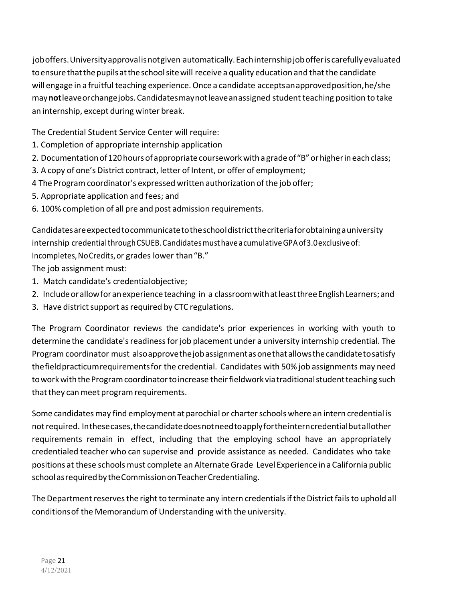joboffers.Universityapprovalisnotgiven automatically.Eachinternshipjobofferis carefullyevaluated to ensure that the pupils at the school site will receive a quality education and that the candidate will engage in a fruitful teaching experience. Once a candidate accepts an approved position, he/she may**not**leaveorchangejobs.Candidatesmaynotleaveanassigned student teaching position to take an internship, except during winter break.

The Credential Student Service Center will require:

- 1. Completion of appropriate internship application
- 2. Documentation of 120 hours of appropriate coursework with a grade of "B" or higher in each class;
- 3. A copy of one's District contract, letter of Intent, or offer of employment;
- 4 The Program coordinator's expressed written authorization of the job offer;
- 5. Appropriate application and fees; and
- 6. 100% completion of all pre and post admission requirements.

Candidatesareexpectedtocommunicatetotheschooldistrictthecriteriaforobtainingauniversity internship credentialthroughCSUEB.CandidatesmusthaveacumulativeGPAof3.0exclusiveof: Incompletes,NoCredits,or grades lower than"B."

The job assignment must:

- 1. Match candidate's credentialobjective;
- 2. Include or allow for an experience teaching in a classroom with at least three English Learners; and
- 3. Have district support as required by CTC regulations.

The Program Coordinator reviews the candidate's prior experiences in working with youth to determine the candidate's readiness for job placement under a university internship credential. The Program coordinator must alsoapprovethejobassignmentasonethatallowsthecandidatetosatisfy thefieldpracticumrequirementsfor the credential. Candidates with 50% job assignments may need to work with the Program coordinator to increase their fieldwork via traditional student teaching such that they can meet program requirements.

Some candidates may find employment at parochial or charter schools where an intern credential is notrequired. Inthesecases,thecandidatedoesnotneedtoapplyfortheinterncredentialbutallother requirements remain in effect, including that the employing school have an appropriately credentialed teacher who can supervise and provide assistance as needed. Candidates who take positions at these schools must complete an AlternateGrade Level Experience in aCalifornia public school as required by the Commission on Teacher Credentialing.

The Department reserves the right to terminate any intern credentials if the District fails to uphold all conditionsof the Memorandum of Understanding with the university.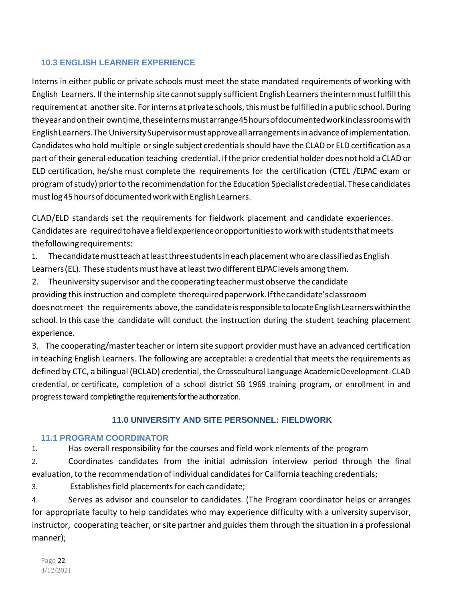# <span id="page-21-0"></span>**10.3 ENGLISH LEARNER EXPERIENCE**

Interns in either public or private schools must meet the state mandated requirements of working with English Learners. If the internship site cannot supply sufficient English Learners the intern must fulfill this requirement at another site. For interns at private schools, this must be fulfilled in a public school. During theyearandontheir owntime,theseinternsmustarrange45hoursofdocumentedworkinclassroomswith EnglishLearners.The UniversitySupervisormustapproveall arrangementsinadvanceofimplementation. Candidates who hold multiple or single subject credentials should have the CLAD or ELD certification as a part of their general education teaching credential. If the prior credential holder does not hold a CLAD or ELD certification, he/she must complete the requirements for the certification (CTEL /ELPAC exam or program of study) prior to the recommendation for the Education Specialist credential. These candidates mustlog45hoursofdocumentedworkwithEnglishLearners.

CLAD/ELD standards set the requirements for fieldwork placement and candidate experiences. Candidates are requiredtohaveafieldexperienceoropportunitiestoworkwithstudentsthatmeets thefollowingrequirements:

1. ThecandidatemustteachatleastthreestudentsineachplacementwhoareclassifiedasEnglish Learners (EL). These students must have at least two different ELPAC levels among them.

2. The university supervisor and the cooperating teacher must observe the candidate providing thisinstruction and complete therequiredpaperwork.Ifthecandidate'sclassroom does not meet the requirements above, the candidate is responsible to locate English Learners within the school. In this case the candidate will conduct the instruction during the student teaching placement experience.

3. The cooperating/master teacher or intern site support provider must have an advanced certification in teaching English Learners. The following are acceptable: a credential that meets the requirements as defined by CTC, a bilingual (BCLAD) credential, the Crosscultural Language AcademicDevelopment-CLAD credential, or certificate, completion of a school district SB 1969 training program, or enrollment in and progresstoward completing the requirements for the authorization.

#### **11.0 UNIVERSITY AND SITE PERSONNEL: FIELDWORK**

#### <span id="page-21-1"></span>**11.1 PROGRAM COORDINATOR**

<span id="page-21-2"></span>1. Has overall responsibility for the courses and field work elements of the program

2. Coordinates candidates from the initial admission interview period through the final evaluation, to the recommendation of individual candidates for California teaching credentials;

3. Establishesfield placementsfor each candidate;

4. Serves as advisor and counselor to candidates. (The Program coordinator helps or arranges for appropriate faculty to help candidates who may experience difficulty with a university supervisor, instructor, cooperating teacher, or site partner and guides them through the situation in a professional manner);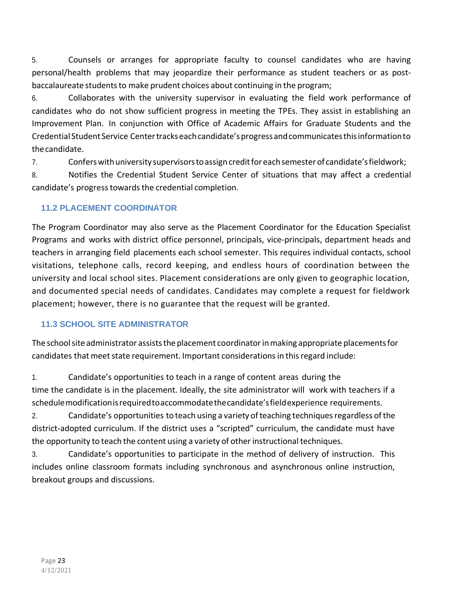5. Counsels or arranges for appropriate faculty to counsel candidates who are having personal/health problems that may jeopardize their performance as student teachers or as postbaccalaureate studentsto make prudent choices about continuing in the program;

6. Collaborates with the university supervisor in evaluating the field work performance of candidates who do not show sufficient progress in meeting the TPEs. They assist in establishing an Improvement Plan. In conjunction with Office of Academic Affairs for Graduate Students and the Credential Student Service Centertrackseachcandidate'sprogressandcommunicatesthisinformationto thecandidate.

7. Conferswithuniversitysupervisorstoassigncreditforeachsemester of candidate'sfieldwork;

8. Notifies the Credential Student Service Center of situations that may affect a credential candidate's progress towards the credential completion.

# <span id="page-22-0"></span>**11.2 PLACEMENT COORDINATOR**

The Program Coordinator may also serve as the Placement Coordinator for the Education Specialist Programs and works with district office personnel, principals, vice-principals, department heads and teachers in arranging field placements each school semester. This requires individual contacts, school visitations, telephone calls, record keeping, and endless hours of coordination between the university and local school sites. Placement considerations are only given to geographic location, and documented special needs of candidates. Candidates may complete a request for fieldwork placement; however, there is no guarantee that the request will be granted.

# <span id="page-22-1"></span>**11.3 SCHOOL SITE ADMINISTRATOR**

The school site administrator assists the placement coordinator in making appropriate placements for candidates that meet state requirement. Important considerations in this regard include:

1. Candidate's opportunities to teach in a range of content areas during the time the candidate is in the placement. Ideally, the site administrator will work with teachers if a schedulemodificationisrequiredtoaccommodatethecandidate'sfieldexperience requirements.

2. Candidate's opportunities to teach using a variety of teaching techniques regardless of the district-adopted curriculum. If the district uses a "scripted" curriculum, the candidate must have the opportunity to teach the content using a variety of other instructional techniques.

3. Candidate's opportunities to participate in the method of delivery of instruction. This includes online classroom formats including synchronous and asynchronous online instruction, breakout groups and discussions.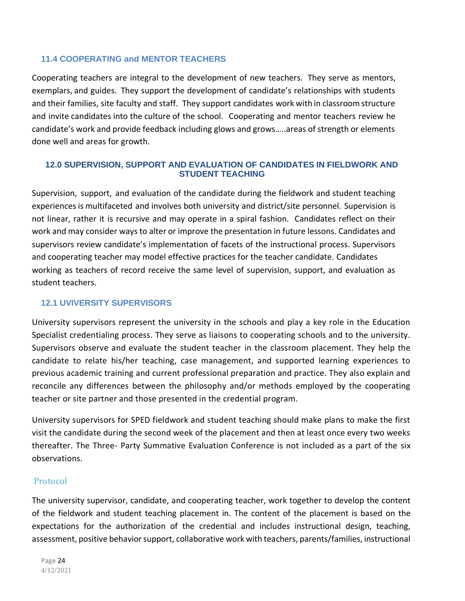#### <span id="page-23-0"></span>**11.4 COOPERATING and MENTOR TEACHERS**

Cooperating teachers are integral to the development of new teachers. They serve as mentors, exemplars, and guides. They support the development of candidate's relationships with students and their families, site faculty and staff. They support candidates work with in classroom structure and invite candidates into the culture of the school. Cooperating and mentor teachers review he candidate's work and provide feedback including glows and grows…..areas of strength or elements done well and areas for growth.

#### <span id="page-23-1"></span>**12.0 SUPERVISION, SUPPORT AND EVALUATION OF CANDIDATES IN FIELDWORK AND STUDENT TEACHING**

Supervision, support, and evaluation of the candidate during the fieldwork and student teaching experiences is multifaceted and involves both university and district/site personnel. Supervision is not linear, rather it is recursive and may operate in a spiral fashion. Candidates reflect on their work and may consider ways to alter or improve the presentation in future lessons. Candidates and supervisors review candidate's implementation of facets of the instructional process. Supervisors and cooperating teacher may model effective practices for the teacher candidate. Candidates working as teachers of record receive the same level of supervision, support, and evaluation as student teachers.

### <span id="page-23-2"></span>**12.1 UVIVERSITY SUPERVISORS**

University supervisors represent the university in the schools and play a key role in the Education Specialist credentialing process. They serve as liaisons to cooperating schools and to the university. Supervisors observe and evaluate the student teacher in the classroom placement. They help the candidate to relate his/her teaching, case management, and supported learning experiences to previous academic training and current professional preparation and practice. They also explain and reconcile any differences between the philosophy and/or methods employed by the cooperating teacher or site partner and those presented in the credential program.

University supervisors for SPED fieldwork and student teaching should make plans to make the first visit the candidate during the second week of the placement and then at least once every two weeks thereafter. The Three- Party Summative Evaluation Conference is not included as a part of the six observations.

#### <span id="page-23-3"></span>Protocol

The university supervisor, candidate, and cooperating teacher, work together to develop the content of the fieldwork and student teaching placement in. The content of the placement is based on the expectations for the authorization of the credential and includes instructional design, teaching, assessment, positive behavior support, collaborative work with teachers, parents/families, instructional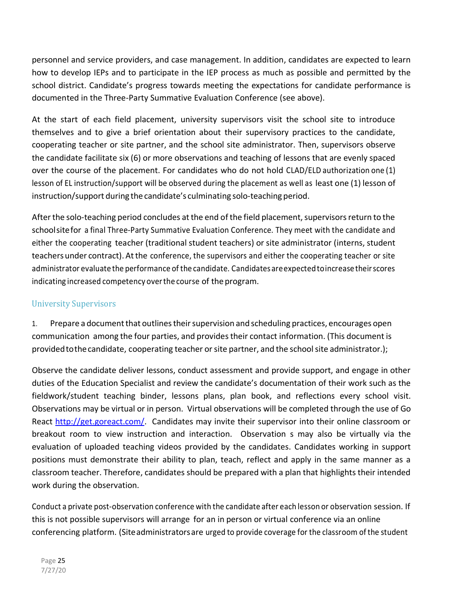personnel and service providers, and case management. In addition, candidates are expected to learn how to develop IEPs and to participate in the IEP process as much as possible and permitted by the school district. Candidate's progress towards meeting the expectations for candidate performance is documented in the Three-Party Summative Evaluation Conference (see above).

At the start of each field placement, university supervisors visit the school site to introduce themselves and to give a brief orientation about their supervisory practices to the candidate, cooperating teacher or site partner, and the school site administrator. Then, supervisors observe the candidate facilitate six (6) or more observations and teaching of lessons that are evenly spaced over the course of the placement. For candidates who do not hold CLAD/ELD authorization one (1) lesson of EL instruction/support will be observed during the placement as well as least one (1) lesson of instruction/support during the candidate's culminating solo-teaching period.

After the solo-teaching period concludes at the end of the field placement, supervisors return to the schoolsitefor a final Three-Party Summative Evaluation Conference. They meet with the candidate and either the cooperating teacher (traditional student teachers) or site administrator (interns, student teachersunder contract). Atthe conference, the supervisors and either the cooperating teacher or site administrator evaluate the performance of the candidate. Candidatesareexpectedtoincreasetheirscores indicating increased competency overthe course of the program.

# <span id="page-24-0"></span>University Supervisors

1. Prepare a document that outlines their supervision and scheduling practices, encourages open communication among the four parties, and providestheir contact information. (This document is provided to the candidate, cooperating teacher or site partner, and the school site administrator.);

Observe the candidate deliver lessons, conduct assessment and provide support, and engage in other duties of the Education Specialist and review the candidate's documentation of their work such as the fieldwork/student teaching binder, lessons plans, plan book, and reflections every school visit. Observations may be virtual or in person. Virtual observations will be completed through the use of Go React [http://get.goreact.com/.](http://get.goreact.com/) Candidates may invite their supervisor into their online classroom or breakout room to view instruction and interaction. Observation s may also be virtually via the evaluation of uploaded teaching videos provided by the candidates. Candidates working in support positions must demonstrate their ability to plan, teach, reflect and apply in the same manner as a classroom teacher. Therefore, candidates should be prepared with a plan that highlights their intended work during the observation.

Conduct a private post-observation conference with the candidate after each lesson or observation session. If this is not possible supervisors will arrange for an in person or virtual conference via an online conferencing platform. (Siteadministratorsare urged to provide coverage for the classroom of the student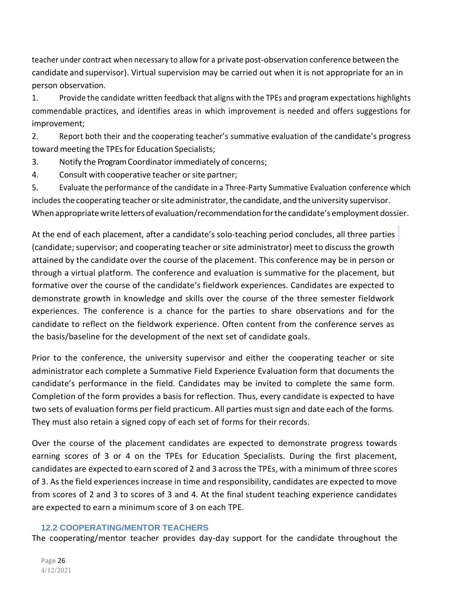teacher under contract when necessary to allow for a private post-observation conference between the candidate and supervisor). Virtual supervision may be carried out when it is not appropriate for an in person observation.

1. Provide the candidate written feedback that aligns with the TPEs and program expectations highlights commendable practices, and identifies areas in which improvement is needed and offers suggestions for improvement;

2. Report both their and the cooperating teacher's summative evaluation of the candidate's progress toward meeting the TPEs for Education Specialists;

- 3. Notify the Program Coordinator immediately of concerns;
- 4. Consult with cooperative teacher or site partner;

5. Evaluate the performance of the candidate in a Three-Party Summative Evaluation conference which includes the cooperating teacher or site administrator, the candidate, and the university supervisor. When appropriate write letters of evaluation/recommendation for the candidate's employment dossier.

At the end of each placement, after a candidate's solo-teaching period concludes, all three parties (candidate; supervisor; and cooperating teacher or site administrator) meet to discuss the growth attained by the candidate over the course of the placement. This conference may be in person or through a virtual platform. The conference and evaluation is summative for the placement, but formative over the course of the candidate's fieldwork experiences. Candidates are expected to demonstrate growth in knowledge and skills over the course of the three semester fieldwork experiences. The conference is a chance for the parties to share observations and for the candidate to reflect on the fieldwork experience. Often content from the conference serves as the basis/baseline for the development of the next set of candidate goals.

Prior to the conference, the university supervisor and either the cooperating teacher or site administrator each complete a Summative Field Experience Evaluation form that documents the candidate's performance in the field. Candidates may be invited to complete the same form. Completion of the form provides a basis for reflection. Thus, every candidate is expected to have two sets of evaluation forms per field practicum. All parties must sign and date each of the forms. They must also retain a signed copy of each set of forms for their records.

Over the course of the placement candidates are expected to demonstrate progress towards earning scores of 3 or 4 on the TPEs for Education Specialists. During the first placement, candidates are expected to earn scored of 2 and 3 across the TPEs, with a minimum of three scores of 3. As the field experiences increase in time and responsibility, candidates are expected to move from scores of 2 and 3 to scores of 3 and 4. At the final student teaching experience candidates are expected to earn a minimum score of 3 on each TPE.

#### <span id="page-25-0"></span>**12.2 COOPERATING/MENTOR TEACHERS**

The cooperating/mentor teacher provides day-day support for the candidate throughout the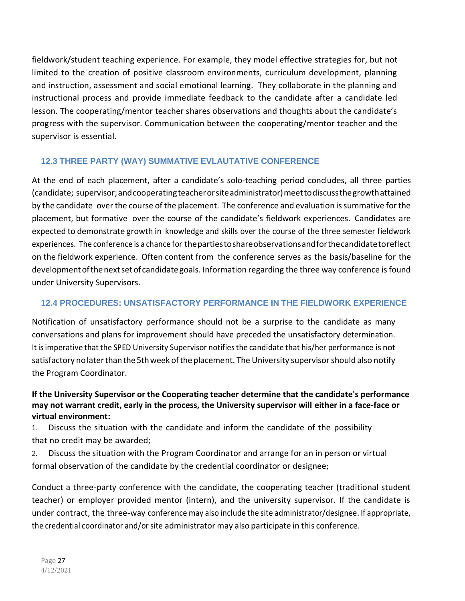fieldwork/student teaching experience. For example, they model effective strategies for, but not limited to the creation of positive classroom environments, curriculum development, planning and instruction, assessment and social emotional learning. They collaborate in the planning and instructional process and provide immediate feedback to the candidate after a candidate led lesson. The cooperating/mentor teacher shares observations and thoughts about the candidate's progress with the supervisor. Communication between the cooperating/mentor teacher and the supervisor is essential.

# <span id="page-26-0"></span>**12.3 THREE PARTY (WAY) SUMMATIVE EVLAUTATIVE CONFERENCE**

At the end of each placement, after a candidate's solo-teaching period concludes, all three parties (candidate; supervisor;andcooperatingteacherorsiteadministrator)meettodiscussthegrowthattained by the candidate over the course of the placement. The conference and evaluation is summative for the placement, but formative over the course of the candidate's fieldwork experiences. Candidates are expected to demonstrate growth in knowledge and skills over the course of the three semester fieldwork experiences. The conference is a chance for thepartiestoshareobservationsandforthecandidatetoreflect on the fieldwork experience. Often content from the conference serves as the basis/baseline for the developmentofthenextsetof candidategoals. Information regarding the three way conference is found under University Supervisors.

# <span id="page-26-1"></span>**12.4 PROCEDURES: UNSATISFACTORY PERFORMANCE IN THE FIELDWORK EXPERIENCE**

Notification of unsatisfactory performance should not be a surprise to the candidate as many conversations and plans for improvement should have preceded the unsatisfactory determination. It isimperative that the SPED University Supervisor notifiesthe candidate that his/her performance is not satisfactory no later than the 5th week of the placement. The University supervisor should also notify the Program Coordinator.

# **If the University Supervisor or the Cooperating teacher determine that the candidate's performance may not warrant credit, early in the process, the University supervisor will either in a face-face or virtual environment:**

1. Discuss the situation with the candidate and inform the candidate of the possibility that no credit may be awarded;

2. Discuss the situation with the Program Coordinator and arrange for an in person or virtual formal observation of the candidate by the credential coordinator or designee;

Conduct a three-party conference with the candidate, the cooperating teacher (traditional student teacher) or employer provided mentor (intern), and the university supervisor. If the candidate is under contract, the three-way conference may also include the site administrator/designee. If appropriate, the credential coordinator and/or site administrator may also participate in this conference.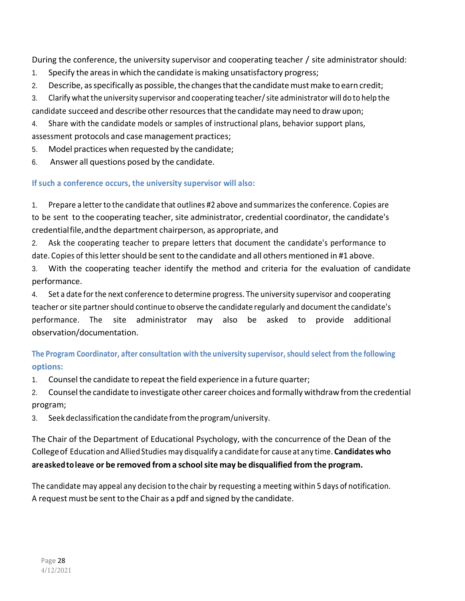During the conference, the university supervisor and cooperating teacher / site administrator should:

- 1. Specify the areas in which the candidate is making unsatisfactory progress;
- 2. Describe, as specifically as possible, the changes that the candidate must make to earn credit;
- 3. Clarify whatthe university supervisor and cooperating teacher/site administrator will do to help the

candidate succeed and describe other resourcesthat the candidate may need to drawupon;

4. Share with the candidate models or samples of instructional plans, behavior support plans,

assessment protocols and case management practices;

5. Model practices when requested by the candidate;

6. Answer all questions posed by the candidate.

# <span id="page-27-0"></span>**If such a conference occurs, the university supervisor will also:**

1. Prepare a letter to the candidate that outlines #2 above and summarizesthe conference. Copies are to be sent to the cooperating teacher, site administrator, credential coordinator, the candidate's credentialfile,andthe department chairperson, as appropriate, and

2. Ask the cooperating teacher to prepare letters that document the candidate's performance to date. Copies of this letter should be sent to the candidate and all others mentioned in #1 above.

3. With the cooperating teacher identify the method and criteria for the evaluation of candidate performance.

4. Set a date forthe next conference to determine progress. The university supervisor and cooperating teacher or site partner should continue to observe the candidate regularly and document the candidate's performance. The site administrator may also be asked to provide additional observation/documentation.

# <span id="page-27-1"></span>**The Program Coordinator, after consultation with the university supervisor,should select from the following options:**

1. Counsel the candidate to repeat the field experience in a future quarter;

2. Counsel the candidate to investigate other career choices and formally withdraw from the credential program;

3. Seek declassification the candidate fromthe program/university.

The Chair of the Department of Educational Psychology, with the concurrence of the Dean of the Collegeof Education and Allied Studies may disqualify a candidate for cause at any time. **Candidates who areaskedtoleave or be removed from a schoolsite may be disqualified from the program.**

The candidate may appeal any decision to the chair by requesting a meeting within 5 days of notification. A request must be sent to the Chair as a pdf and signed by the candidate.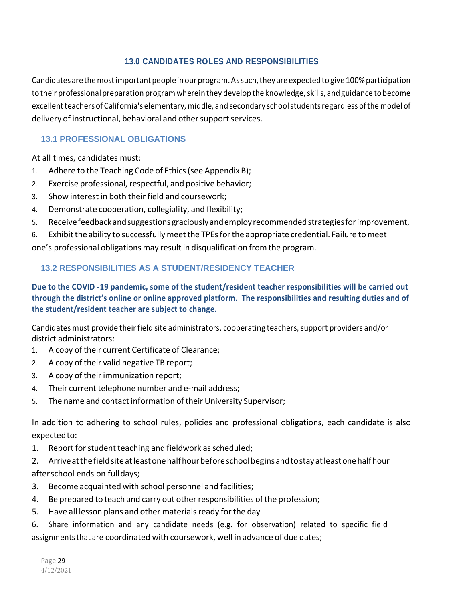#### **13.0 CANDIDATES ROLES AND RESPONSIBILITIES**

<span id="page-28-0"></span>Candidatesarethemostimportant peopleinour program.Assuch,they are expectedtogive 100%participation to their professional preparation program wherein they develop the knowledge, skills, and guidance to become excellentteachers of California's elementary, middle, and secondary schoolstudentsregardless ofthe model of delivery of instructional, behavioral and other support services.

### <span id="page-28-1"></span>**13.1 PROFESSIONAL OBLIGATIONS**

At all times, candidates must:

- 1. Adhere to the Teaching Code of Ethics(see Appendix B);
- 2. Exercise professional, respectful, and positive behavior;
- 3. Show interest in both their field and coursework;
- 4. Demonstrate cooperation, collegiality, and flexibility;
- 5. Receivefeedbackandsuggestionsgraciouslyandemployrecommendedstrategiesforimprovement,
- 6. Exhibitthe ability to successfullymeetthe TPEsforthe appropriate credential. Failure tomeet one's professional obligations may result in disqualification from the program.

# <span id="page-28-2"></span>**13.2 RESPONSIBILITIES AS A STUDENT/RESIDENCY TEACHER**

**Due to the COVID -19 pandemic, some of the student/resident teacher responsibilities will be carried out through the district's online or online approved platform. The responsibilities and resulting duties and of the student/resident teacher are subject to change.**

Candidates must provide their field site administrators, cooperating teachers, support providers and/or district administrators:

- 1. A copy of their current Certificate of Clearance;
- 2. A copy of their valid negative TB report;
- 3. A copy of their immunization report;
- 4. Their current telephone number and e-mail address;
- 5. The name and contact information of their University Supervisor;

In addition to adhering to school rules, policies and professional obligations, each candidate is also expectedto:

- 1. Report for student teaching and fieldwork as scheduled;
- 2. Arriveatthefieldsiteatleastonehalfhourbeforeschoolbeginsandtostayatleastonehalfhour afterschool ends on fulldays;
- 3. Become acquainted with school personnel and facilities;
- 4. Be prepared to teach and carry out otherresponsibilities of the profession;
- 5. Have all lesson plans and other materials ready for the day
- 6. Share information and any candidate needs (e.g. for observation) related to specific field assignmentsthat are coordinated with coursework, well in advance of due dates;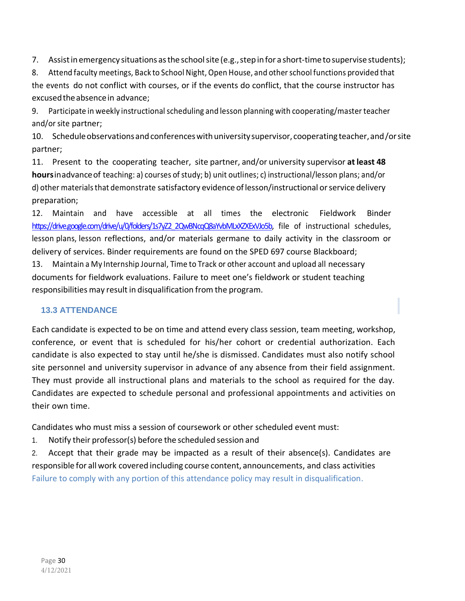7. Assistinemergency situations asthe schoolsite (e.g.,stepinfor a short-time tosupervise students);

8. Attend faculty meetings, Back to School Night, Open House, and other school functions provided that the events do not conflict with courses, or if the events do conflict, that the course instructor has excusedtheabsencein advance;

9. Participate in weekly instructional scheduling and lesson planning with cooperating/master teacher and/or site partner;

10. Schedule observations and conferences with university supervisor, cooperating teacher, and/or site partner;

11. Present to the cooperating teacher, site partner, and/or university supervisor **at least 48** hoursinadvance of teaching: a) courses of study; b) unit outlines; c) instructional/lesson plans; and/or d) other materials that demonstrate satisfactory evidence of lesson/instructional or service delivery preparation;

12. Maintain and have accessible at all times the electronic Fieldwork Binder [https://drive.google.com/drive/u/0/folders/1s7yZ2\\_2QwBNcqQ8aYvbMLxXZXExVJo5b,](https://drive.google.com/drive/u/0/folders/1s7yZ2_2QwBNcqQ8aYvbMLxXZXExVJo5b) file of instructional schedules, lesson plans, lesson reflections, and/or materials germane to daily activity in the classroom or delivery of services. Binder requirements are found on the SPED 697 course Blackboard; 13. Maintain a My Internship Journal, Time to Track or other account and upload all necessary

documents for fieldwork evaluations. Failure to meet one's fieldwork or student teaching responsibilities may result in disqualification from the program.

# <span id="page-29-0"></span>**13.3 ATTENDANCE**

Each candidate is expected to be on time and attend every class session, team meeting, workshop, conference, or event that is scheduled for his/her cohort or credential authorization. Each candidate is also expected to stay until he/she is dismissed. Candidates must also notify school site personnel and university supervisor in advance of any absence from their field assignment. They must provide all instructional plans and materials to the school as required for the day. Candidates are expected to schedule personal and professional appointments and activities on their own time.

Candidates who must miss a session of coursework or other scheduled event must:

1. Notify their professor(s) before the scheduled session and

<span id="page-29-1"></span>2. Accept that their grade may be impacted as a result of their absence(s). Candidates are responsible for all work covered including course content, announcements, and class activities Failure to comply with any portion of this attendance policy may result in disqualification.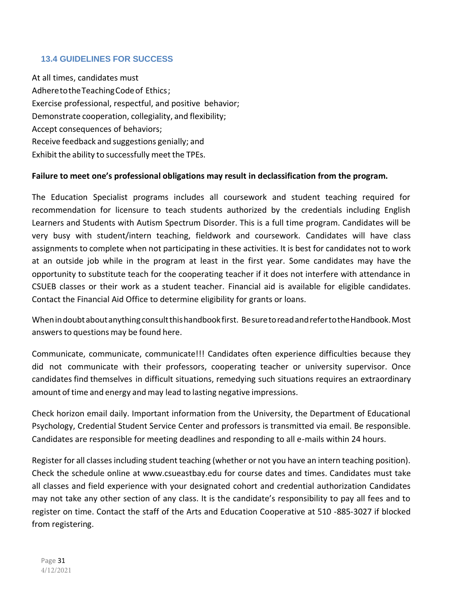#### <span id="page-30-0"></span>**13.4 GUIDELINES FOR SUCCESS**

At all times, candidates must AdheretotheTeachingCodeof Ethics; Exercise professional, respectful, and positive behavior; Demonstrate cooperation, collegiality, and flexibility; Accept consequences of behaviors; Receive feedback and suggestions genially; and Exhibit the ability to successfully meet the TPEs.

#### **Failure to meet one's professional obligations may result in declassification from the program.**

The Education Specialist programs includes all coursework and student teaching required for recommendation for licensure to teach students authorized by the credentials including English Learners and Students with Autism Spectrum Disorder. This is a full time program. Candidates will be very busy with student/intern teaching, fieldwork and coursework. Candidates will have class assignments to complete when not participating in these activities. It is best for candidates not to work at an outside job while in the program at least in the first year. Some candidates may have the opportunity to substitute teach for the cooperating teacher if it does not interfere with attendance in CSUEB classes or their work as a student teacher. Financial aid is available for eligible candidates. Contact the Financial Aid Office to determine eligibility for grants or loans.

Whenindoubtaboutanythingconsultthishandbookfirst. BesuretoreadandrefertotheHandbook.Most answers to questions may be found here.

Communicate, communicate, communicate!!! Candidates often experience difficulties because they did not communicate with their professors, cooperating teacher or university supervisor. Once candidates find themselves in difficult situations, remedying such situations requires an extraordinary amount of time and energy and may lead to lasting negative impressions.

Check horizon email daily. Important information from the University, the Department of Educational Psychology, Credential Student Service Center and professors is transmitted via email. Be responsible. Candidates are responsible for meeting deadlines and responding to all e-mails within 24 hours.

Register for all classes including student teaching (whether or not you have an intern teaching position). Check the schedule online at [www.csueastbay.edu f](http://www.csueastbay.edu/)or course dates and times. Candidates must take all classes and field experience with your designated cohort and credential authorization Candidates may not take any other section of any class. It is the candidate's responsibility to pay all fees and to register on time. Contact the staff of the Arts and Education Cooperative at 510 -885-3027 if blocked from registering.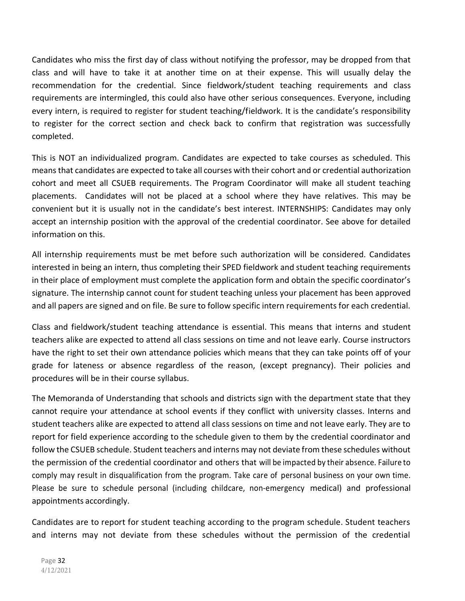Candidates who miss the first day of class without notifying the professor, may be dropped from that class and will have to take it at another time on at their expense. This will usually delay the recommendation for the credential. Since fieldwork/student teaching requirements and class requirements are intermingled, this could also have other serious consequences. Everyone, including every intern, is required to register for student teaching/fieldwork. It is the candidate's responsibility to register for the correct section and check back to confirm that registration was successfully completed.

This is NOT an individualized program. Candidates are expected to take courses as scheduled. This means that candidates are expected to take all courses with their cohort and or credential authorization cohort and meet all CSUEB requirements. The Program Coordinator will make all student teaching placements. Candidates will not be placed at a school where they have relatives. This may be convenient but it is usually not in the candidate's best interest. INTERNSHIPS: Candidates may only accept an internship position with the approval of the credential coordinator. See above for detailed information on this.

All internship requirements must be met before such authorization will be considered. Candidates interested in being an intern, thus completing their SPED fieldwork and student teaching requirements in their place of employment must complete the application form and obtain the specific coordinator's signature. The internship cannot count for student teaching unless your placement has been approved and all papers are signed and on file. Be sure to follow specific intern requirements for each credential.

Class and fieldwork/student teaching attendance is essential. This means that interns and student teachers alike are expected to attend all class sessions on time and not leave early. Course instructors have the right to set their own attendance policies which means that they can take points off of your grade for lateness or absence regardless of the reason, (except pregnancy). Their policies and procedures will be in their course syllabus.

The Memoranda of Understanding that schools and districts sign with the department state that they cannot require your attendance at school events if they conflict with university classes. Interns and student teachers alike are expected to attend all class sessions on time and not leave early. They are to report for field experience according to the schedule given to them by the credential coordinator and follow the CSUEB schedule. Student teachers and interns may not deviate from these schedules without the permission of the credential coordinator and others that will be impacted by their absence. Failure to comply may result in disqualification from the program. Take care of personal business on your own time. Please be sure to schedule personal (including childcare, non-emergency medical) and professional appointments accordingly.

Candidates are to report for student teaching according to the program schedule. Student teachers and interns may not deviate from these schedules without the permission of the credential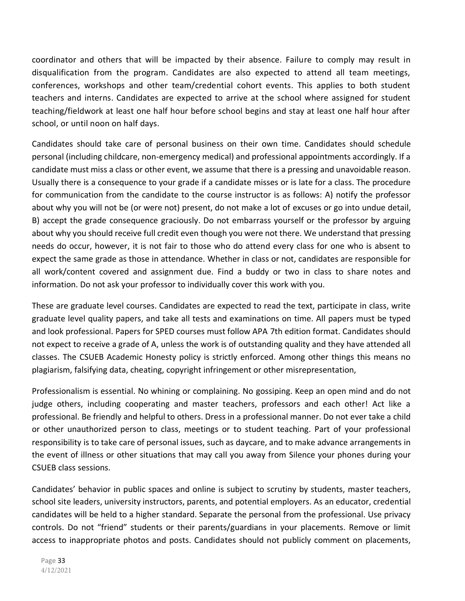coordinator and others that will be impacted by their absence. Failure to comply may result in disqualification from the program. Candidates are also expected to attend all team meetings, conferences, workshops and other team/credential cohort events. This applies to both student teachers and interns. Candidates are expected to arrive at the school where assigned for student teaching/fieldwork at least one half hour before school begins and stay at least one half hour after school, or until noon on half days.

Candidates should take care of personal business on their own time. Candidates should schedule personal (including childcare, non-emergency medical) and professional appointments accordingly. If a candidate must miss a class or other event, we assume that there is a pressing and unavoidable reason. Usually there is a consequence to your grade if a candidate misses or is late for a class. The procedure for communication from the candidate to the course instructor is as follows: A) notify the professor about why you will not be (or were not) present, do not make a lot of excuses or go into undue detail, B) accept the grade consequence graciously. Do not embarrass yourself or the professor by arguing about why you should receive full credit even though you were not there. We understand that pressing needs do occur, however, it is not fair to those who do attend every class for one who is absent to expect the same grade as those in attendance. Whether in class or not, candidates are responsible for all work/content covered and assignment due. Find a buddy or two in class to share notes and information. Do not ask your professor to individually cover this work with you.

These are graduate level courses. Candidates are expected to read the text, participate in class, write graduate level quality papers, and take all tests and examinations on time. All papers must be typed and look professional. Papers for SPED courses must follow APA 7th edition format. Candidates should not expect to receive a grade of A, unless the work is of outstanding quality and they have attended all classes. The CSUEB Academic Honesty policy is strictly enforced. Among other things this means no plagiarism, falsifying data, cheating, copyright infringement or other misrepresentation,

Professionalism is essential. No whining or complaining. No gossiping. Keep an open mind and do not judge others, including cooperating and master teachers, professors and each other! Act like a professional. Be friendly and helpful to others. Dress in a professional manner. Do not ever take a child or other unauthorized person to class, meetings or to student teaching. Part of your professional responsibility is to take care of personal issues, such as daycare, and to make advance arrangements in the event of illness or other situations that may call you away from Silence your phones during your CSUEB class sessions.

Candidates' behavior in public spaces and online is subject to scrutiny by students, master teachers, school site leaders, university instructors, parents, and potential employers. As an educator, credential candidates will be held to a higher standard. Separate the personal from the professional. Use privacy controls. Do not "friend" students or their parents/guardians in your placements. Remove or limit access to inappropriate photos and posts. Candidates should not publicly comment on placements,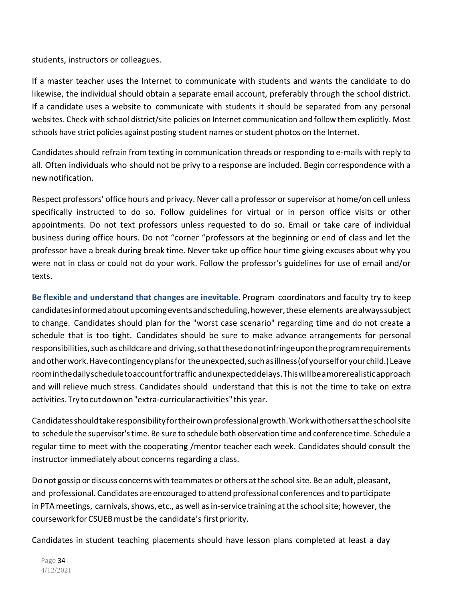students, instructors or colleagues.

If a master teacher uses the Internet to communicate with students and wants the candidate to do likewise, the individual should obtain a separate email account, preferably through the school district. If a candidate uses a website to communicate with students it should be separated from any personal websites. Check with school district/site policies on Internet communication and follow them explicitly. Most schools have strict policies against posting student names or student photos on the Internet.

Candidates should refrain from texting in communication threads or responding to e-mails with reply to all. Often individuals who should not be privy to a response are included. Begin correspondence with a newnotification.

Respect professors' office hours and privacy. Never call a professor or supervisor at home/on cell unless specifically instructed to do so. Follow guidelines for virtual or in person office visits or other appointments. Do not text professors unless requested to do so. Email or take care of individual business during office hours. Do not "corner "professors at the beginning or end of class and let the professor have a break during break time. Never take up office hour time giving excuses about why you were not in class or could not do your work. Follow the professor's guidelines for use of email and/or texts.

**Be flexible and understand that changes are inevitable**. Program coordinators and faculty try to keep candidatesinformedaboutupcomingeventsandscheduling,however,these elements arealwayssubject to change. Candidates should plan for the "worst case scenario" regarding time and do not create a schedule that is too tight. Candidates should be sure to make advance arrangements for personal responsibilities, such as childcare and driving, sothat these donot infringe upon the program requirements and other work. Have contingency plans for the unexpected, such as illness (of yourself or your child.) Leave roominthedailyscheduletoaccountfortraffic andunexpecteddelays.Thiswillbeamorerealisticapproach and will relieve much stress. Candidates should understand that this is not the time to take on extra activities.Trytocutdownon"extra-curricularactivities" this year.

Candidatesshouldtakeresponsibilityfortheirownprofessionalgrowth.Workwithothersattheschoolsite to schedule the supervisor'stime. Be sure to schedule both observation time and conference time. Schedule a regular time to meet with the cooperating /mentor teacher each week. Candidates should consult the instructor immediately about concerns regarding a class.

Do not gossip or discuss concerns with teammates orothers atthe schoolsite. Be an adult, pleasant, and professional. Candidates are encouraged to attend professional conferences and to participate in PTA meetings, carnivals, shows, etc., as well as in-service training at the school site; however, the coursework for CSUEB must be the candidate's first priority.

Candidates in student teaching placements should have lesson plans completed at least a day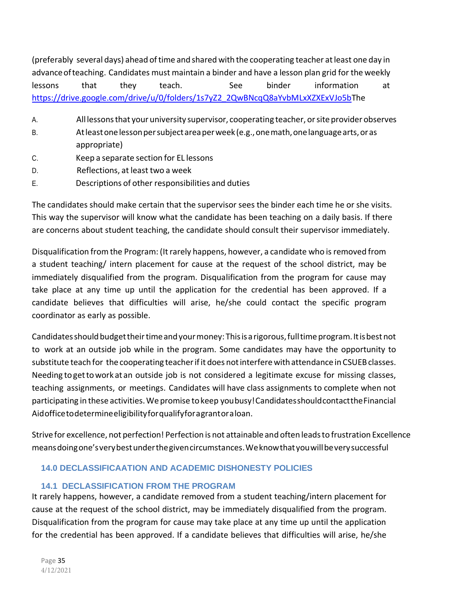(preferably several days) ahead oftime and shared with the cooperating teacher atleast one day in advance of teaching. Candidates must maintain a binder and have a lesson plan grid for the weekly lessons that they teach. See binder information at [https://drive.google.com/drive/u/0/folders/1s7yZ2\\_2QwBNcqQ8aYvbMLxXZXExVJo5bT](https://drive.google.com/drive/u/0/folders/1s7yZ2_2QwBNcqQ8aYvbMLxXZXExVJo5b)he

- A. All lessonsthat your university supervisor, cooperating teacher, orsiteprovider observes
- B. Atleastonelessonpersubjectareaperweek(e.g.,onemath,onelanguagearts,oras appropriate)
- C. Keep a separate section for EL lessons
- D. Reflections, at least two a week
- E. Descriptions of other responsibilities and duties

The candidates should make certain that the supervisor sees the binder each time he or she visits. This way the supervisor will know what the candidate has been teaching on a daily basis. If there are concerns about student teaching, the candidate should consult their supervisor immediately.

Disqualification from the Program: (It rarely happens, however, a candidate who is removed from a student teaching/ intern placement for cause at the request of the school district, may be immediately disqualified from the program. Disqualification from the program for cause may take place at any time up until the application for the credential has been approved. If a candidate believes that difficulties will arise, he/she could contact the specific program coordinator as early as possible.

Candidates should budget their time and your money: This is a rigorous, full time program. It is best not to work at an outside job while in the program. Some candidates may have the opportunity to substitute teach for the cooperating teacher if it does not interfere with attendance in CSUEB classes. Needing togettowork at an outside job is not considered a legitimate excuse for missing classes, teaching assignments, or meetings. Candidates will have class assignments to complete when not participating in these activities. We promise to keep youbusy! Candidates should contact the Financial Aidofficetodetermineeligibilityforqualifyforagrantoraloan.

Strive for excellence, not perfection! Perfection is not attainable and often leadsto frustration Excellence meansdoingone'sverybestunderthegivencircumstances.Weknowthatyouwillbeverysuccessful

#### <span id="page-34-0"></span>**14.0 DECLASSIFICAATION AND ACADEMIC DISHONESTY POLICIES**

#### <span id="page-34-1"></span>**14.1 DECLASSIFICATION FROM THE PROGRAM**

It rarely happens, however, a candidate removed from a student teaching/intern placement for cause at the request of the school district, may be immediately disqualified from the program. Disqualification from the program for cause may take place at any time up until the application for the credential has been approved. If a candidate believes that difficulties will arise, he/she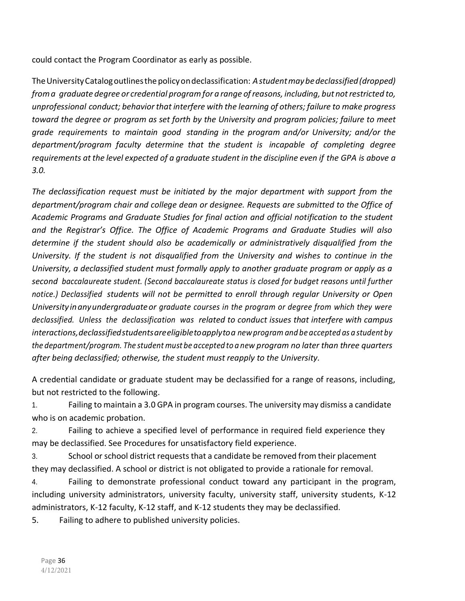could contact the Program Coordinator as early as possible.

TheUniversityCatalogoutlinesthepolicyondeclassification: *Astudentmaybedeclassified(dropped) froma graduate degree or credential programfor a range ofreasons, including, but notrestricted to, unprofessional conduct; behaviorthat interfere with the learning of others; failure to make progress toward the degree or program as set forth by the University and program policies; failure to meet grade requirements to maintain good standing in the program and/or University; and/or the department/program faculty determine that the student is incapable of completing degree* requirements at the level expected of a graduate student in the discipline even if the GPA is above a *3.0.*

*The declassification request must be initiated by the major department with support from the department/program chair and college dean or designee. Requests are submitted to the Office of Academic Programs and Graduate Studies for final action and official notification to the student and the Registrar's Office. The Office of Academic Programs and Graduate Studies will also determine if the student should also be academically or administratively disqualified from the University. If the student is not disqualified from the University and wishes to continue in the University, a declassified student must formally apply to another graduate program or apply as a second baccalaureate student. (Second baccalaureate status is closed for budget reasons until further notice.) Declassified students will not be permitted to enroll through regular University or Open University inanyundergraduateor graduate courses in the program or degree from which they were declassified. Unless the declassification was related to conduct issues that interfere with campus interactions,declassifiedstudentsareeligibletoapplytoa newprogram and be accepted as a student by the department/program. The student must be accepted to a new program no later than three quarters after being declassified; otherwise, the student must reapply to the University.*

A credential candidate or graduate student may be declassified for a range of reasons, including, but not restricted to the following.

1. Failing to maintain a 3.0 GPA in program courses. The university may dismiss a candidate who is on academic probation.

2. Failing to achieve a specified level of performance in required field experience they may be declassified. See Procedures for unsatisfactory field experience.

3. School or school district requests that a candidate be removed from their placement they may declassified. A school or district is not obligated to provide a rationale for removal.

4. Failing to demonstrate professional conduct toward any participant in the program, including university administrators, university faculty, university staff, university students, K-12 administrators, K-12 faculty, K-12 staff, and K-12 students they may be declassified.

5. Failing to adhere to published university policies.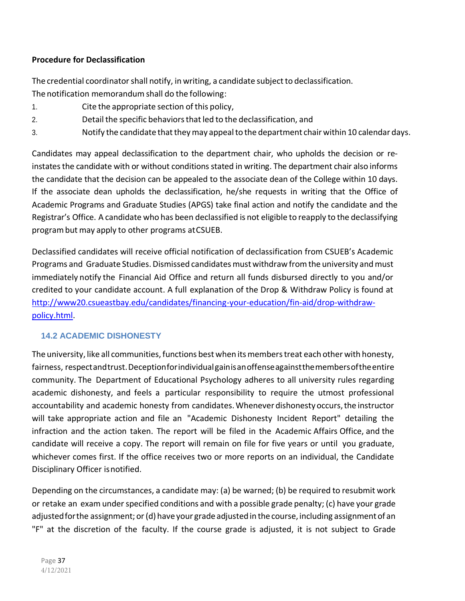# **Procedure for Declassification**

The credential coordinator shall notify, in writing, a candidate subject to declassification. The notification memorandum shall do the following:

- 1. Cite the appropriate section of this policy,
- 2. Detail the specific behaviors that led to the declassification, and
- 3. Notify the candidate thattheymay appealto the department chair within 10 calendar days.

Candidates may appeal declassification to the department chair, who upholds the decision or reinstates the candidate with or without conditions stated in writing. The department chair also informs the candidate that the decision can be appealed to the associate dean of the College within 10 days. If the associate dean upholds the declassification, he/she requests in writing that the Office of Academic Programs and Graduate Studies (APGS) take final action and notify the candidate and the Registrar's Office. A candidate who has been declassified is not eligible to reapply to the declassifying programbut may apply to other programs atCSUEB.

Declassified candidates will receive official notification of declassification from CSUEB's Academic Programs and Graduate Studies. Dismissed candidates must withdraw from the university and must immediately notify the Financial Aid Office and return all funds disbursed directly to you and/or credited to your candidate account. A full explanation of the Drop & Withdraw Policy is found at [http://www20.csueastbay.edu/candidates/financing-your-education/fin-aid/drop-withdraw](http://www20.csueastbay.edu/students/financing-your-education/fin-aid/drop-withdraw-policy.html)[policy.html.](http://www20.csueastbay.edu/students/financing-your-education/fin-aid/drop-withdraw-policy.html)

#### <span id="page-36-0"></span>**14.2 ACADEMIC DISHONESTY**

The university, like all communities, functions best when its members treat each other with honesty, fairness, respectandtrust.Deceptionforindividualgainisanoffenseagainstthemembersoftheentire community. The Department of Educational Psychology adheres to all university rules regarding academic dishonesty, and feels a particular responsibility to require the utmost professional accountability and academic honesty from candidates.Whenever dishonesty occurs,the instructor will take appropriate action and file an "Academic Dishonesty Incident Report" detailing the infraction and the action taken. The report will be filed in the Academic Affairs Office, and the candidate will receive a copy. The report will remain on file for five years or until you graduate, whichever comes first. If the office receives two or more reports on an individual, the Candidate Disciplinary Officer isnotified.

Depending on the circumstances, a candidate may: (a) be warned; (b) be required to resubmit work or retake an exam under specified conditions and with a possible grade penalty; (c) have your grade adjusted for the assignment; or (d) have your grade adjusted in the course, including assignment of an "F" at the discretion of the faculty. If the course grade is adjusted, it is not subject to Grade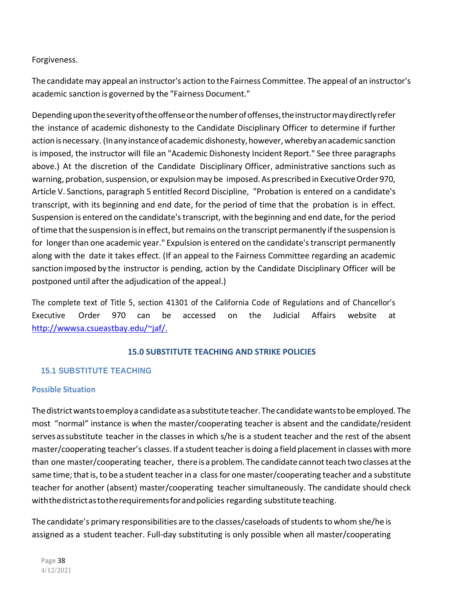#### Forgiveness.

The candidate may appeal an instructor's action to the Fairness Committee. The appeal of an instructor's academic sanction is governed by the "Fairness Document."

Depending upon the severity of the offense or the number of offenses, the instructor may directly refer the instance of academic dishonesty to the Candidate Disciplinary Officer to determine if further action is necessary. (In any instance of academic dishonesty, however, whereby an academic sanction is imposed, the instructor will file an "Academic Dishonesty Incident Report." See three paragraphs above.) At the discretion of the Candidate Disciplinary Officer, administrative sanctions such as warning, probation, suspension, or expulsion may be imposed. As prescribed in Executive Order 970, Article V. Sanctions, paragraph 5 entitled Record Discipline, "Probation is entered on a candidate's transcript, with its beginning and end date, for the period of time that the probation is in effect. Suspension is entered on the candidate'stranscript, with the beginning and end date, for the period of time that the suspension is in effect, but remains on the transcript permanently if the suspension is for longer than one academic year." Expulsion is entered on the candidate'stranscript permanently along with the date it takes effect. (If an appeal to the Fairness Committee regarding an academic sanction imposed by the instructor is pending, action by the Candidate Disciplinary Officer will be postponed until after the adjudication of the appeal.)

The complete text of Title 5, section 41301 of the California Code of Regulations and of Chancellor's Executive Order 970 can be accessed on the Judicial Affairs website at [http://wwwsa.csueastbay.edu/~jaf/.](http://wwwsa.csueastbay.edu/~jaf/)

#### **15.0 SUBSTITUTE TEACHING AND STRIKE POLICIES**

#### <span id="page-37-1"></span><span id="page-37-0"></span>**15.1 SUBSTITUTE TEACHING**

#### <span id="page-37-2"></span>**Possible Situation**

Thedistrictwantstoemploya candidateasa substituteteacher.Thecandidatewantstobe employed. The most "normal" instance is when the master/cooperating teacher is absent and the candidate/resident servesassubstitute teacher in the classes in which s/he is a student teacher and the rest of the absent master/cooperating teacher's classes. If a student teacher is doing a field placement in classes with more than one master/cooperating teacher, there is a problem. The candidate cannot teach two classes at the same time; that is, to be a student teacher in a class for one master/cooperating teacher and a substitute teacher for another (absent) master/cooperating teacher simultaneously. The candidate should check withthedistrictastotherequirementsforandpolicies regarding substitute teaching.

The candidate's primary responsibilities are to the classes/caseloads of students to whom she/he is assigned as a student teacher. Full-day substituting is only possible when all master/cooperating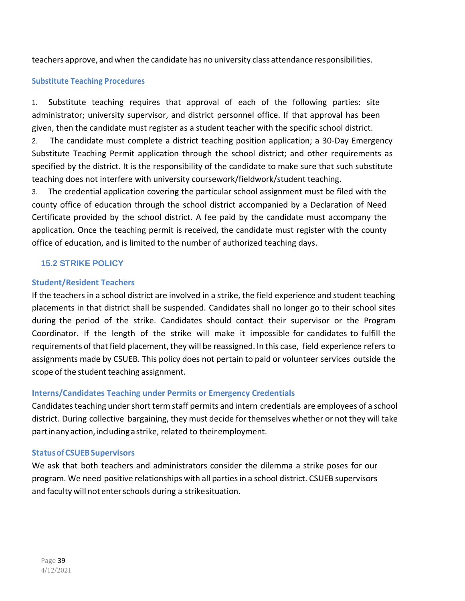teachers approve, andwhen the candidate has no university class attendance responsibilities.

#### <span id="page-38-0"></span>**Substitute Teaching Procedures**

1. Substitute teaching requires that approval of each of the following parties: site administrator; university supervisor, and district personnel office. If that approval has been given, then the candidate must register as a student teacher with the specific school district.

2. The candidate must complete a district teaching position application; a 30-Day Emergency Substitute Teaching Permit application through the school district; and other requirements as specified by the district. It is the responsibility of the candidate to make sure that such substitute teaching does not interfere with university coursework/fieldwork/student teaching.

3. The credential application covering the particular school assignment must be filed with the county office of education through the school district accompanied by a Declaration of Need Certificate provided by the school district. A fee paid by the candidate must accompany the application. Once the teaching permit is received, the candidate must register with the county office of education, and is limited to the number of authorized teaching days.

#### <span id="page-38-1"></span>**15.2 STRIKE POLICY**

#### <span id="page-38-2"></span>**Student/Resident Teachers**

If the teachers in a school district are involved in a strike, the field experience and student teaching placements in that district shall be suspended. Candidates shall no longer go to their school sites during the period of the strike. Candidates should contact their supervisor or the Program Coordinator. If the length of the strike will make it impossible for candidates to fulfill the requirements of that field placement, they will be reassigned. In this case, field experience refers to assignments made by CSUEB. This policy does not pertain to paid or volunteer services outside the scope of the student teaching assignment.

#### <span id="page-38-3"></span>**Interns/Candidates Teaching under Permits or Emergency Credentials**

Candidates teaching under short term staff permits and intern credentials are employees of a school district. During collective bargaining, they must decide for themselves whether or not they will take partinanyaction,includingastrike, related to theiremployment.

#### <span id="page-38-4"></span>**StatusofCSUEBSupervisors**

We ask that both teachers and administrators consider the dilemma a strike poses for our program. We need positive relationships with all partiesin a school district. CSUEB supervisors and faculty will not enterschools during a strikesituation.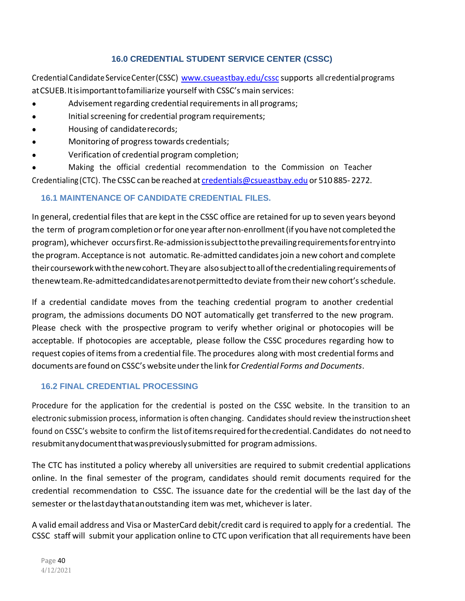# **16.0 CREDENTIAL STUDENT SERVICE CENTER (CSSC)**

<span id="page-39-0"></span>Credential Candidate Service Center (CSSC) [www.csueastbay.edu/cssc s](http://www.csueastbay.edu/cssc)upports all credential programs atCSUEB.Itisimportanttofamiliarize yourself with CSSC's main services:

- Advisement regarding credential requirements in all programs;
- Initial screening for credential program requirements;
- Housing of candidate records;
- Monitoring of progress towards credentials;
- Verification of credential program completion;

Making the official credential recommendation to the Commission on Teacher Credentialing (CTC). The CSSC can be reached at [credentials@csueastbay.edu](mailto:credentials@csueastbay.edu) or 510 885- 2272.

# <span id="page-39-1"></span>**16.1 MAINTENANCE OF CANDIDATE CREDENTIAL FILES.**

In general, credential files that are kept in the CSSC office are retained for up to seven years beyond the term of program completion or for one year after non-enrollment (if you have not completed the program), whichever occursfirst.Re-admissionissubjecttotheprevailingrequirementsforentryinto the program. Acceptance is not automatic. Re-admitted candidatesjoin a new cohort and complete their courseworkwiththenewcohort.Theyare alsosubjecttoallofthecredentialingrequirementsof thenewteam.Re-admittedcandidatesarenotpermittedto deviate fromtheir new cohort'sschedule.

If a credential candidate moves from the teaching credential program to another credential program, the admissions documents DO NOT automatically get transferred to the new program. Please check with the prospective program to verify whether original or photocopies will be acceptable. If photocopies are acceptable, please follow the CSSC procedures regarding how to request copies of items from a credential file. The procedures along with most credential forms and documents are found on CSSC's websiteunderthe link for *Credential Forms and Documents*.

# <span id="page-39-2"></span>**16.2 FINAL CREDENTIAL PROCESSING**

Procedure for the application for the credential is posted on the CSSC website. In the transition to an electronic submission process, information is often changing. Candidates should review theinstruction sheet found on CSSC's website to confirm the list of items required for the credential. Candidates do not need to resubmitanydocumentthatwaspreviouslysubmitted for programadmissions.

The CTC has instituted a policy whereby all universities are required to submit credential applications online. In the final semester of the program, candidates should remit documents required for the credential recommendation to CSSC. The issuance date for the credential will be the last day of the semester or thelastdaythatanoutstanding item was met, whichever islater.

A valid email address and Visa or MasterCard debit/credit card is required to apply for a credential. The CSSC staff will submit your application online to CTC upon verification that all requirements have been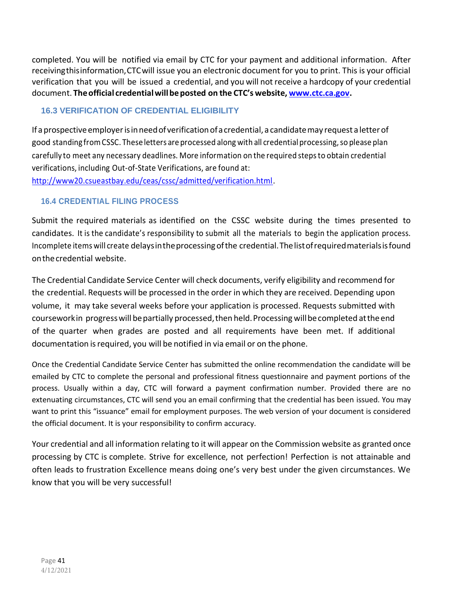completed. You will be notified via email by CTC for your payment and additional information. After receivingthisinformation,CTCwill issue you an electronic document for you to print. This is your official verification that you will be issued a credential, and you will not receive a hardcopy of your credential document. **Theofficial credentialwillbeposted on the CTC's website, [www.ctc.ca.gov.](http://www.ctc.ca.gov/)**

# <span id="page-40-0"></span>**16.3 VERIFICATION OF CREDENTIAL ELIGIBILITY**

If aprospectiveemployerisinneedof verificationofacredential, a candidatemay request a letterof good standing fromCSSC. Theseletters are processed along with all credential processing,so please plan carefully to meet any necessary deadlines. More information on the required stepsto obtain credential verifications, including Out-of-State Verifications, are found at:

[http://www20.csueastbay.edu/ceas/cssc/admitted/verification.html.](http://www20.csueastbay.edu/ceas/cssc/admitted/verification.html)

# <span id="page-40-1"></span>**16.4 CREDENTIAL FILING PROCESS**

Submit the required materials as identified on the CSSC website during the times presented to candidates. It is the candidate's responsibility to submit all the materials to begin the application process. Incomplete items will create delaysintheprocessingofthe credential.Thelistofrequiredmaterialsisfound onthecredential website.

The Credential Candidate Service Center will check documents, verify eligibility and recommend for the credential. Requests will be processed in the order in which they are received. Depending upon volume, it may take several weeks before your application is processed. Requests submitted with coursework in progress will be partially processed, then held. Processing will be completed at the end of the quarter when grades are posted and all requirements have been met. If additional documentation isrequired, you will be notified in via email or on the phone.

Once the Credential Candidate Service Center has submitted the online recommendation the candidate will be emailed by CTC to complete the personal and professional fitness questionnaire and payment portions of the process. Usually within a day, CTC will forward a payment confirmation number. Provided there are no extenuating circumstances, CTC will send you an email confirming that the credential has been issued. You may want to print this "issuance" email for employment purposes. The web version of your document is considered the official document. It is your responsibility to confirm accuracy.

Your credential and all information relating to it will appear on the Commission website as granted once processing by CTC is complete. Strive for excellence, not perfection! Perfection is not attainable and often leads to frustration Excellence means doing one's very best under the given circumstances. We know that you will be very successful!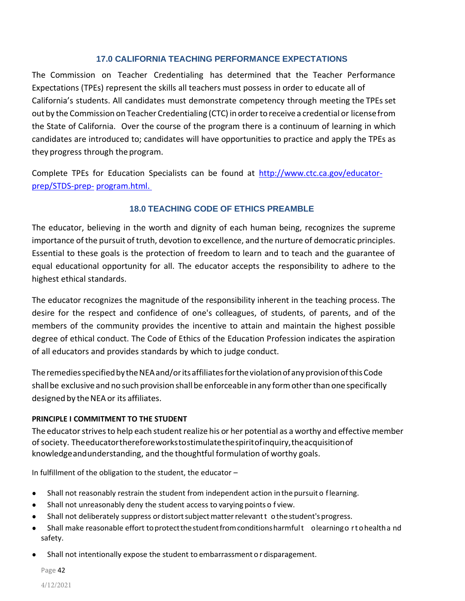#### **17.0 CALIFORNIA TEACHING PERFORMANCE EXPECTATIONS**

<span id="page-41-0"></span>The Commission on Teacher Credentialing has determined that the Teacher Performance Expectations (TPEs) represent the skills all teachers must possess in order to educate all of California's students. All candidates must demonstrate competency through meeting the TPEsset out by the Commission on Teacher Credentialing (CTC) in orderto receive a credential or licensefrom the State of California. Over the course of the program there is a continuum of learning in which candidates are introduced to; candidates will have opportunities to practice and apply the TPEs as they progress through the program.

Complete TPEs for Education Specialists can be found at [http://www.ctc.ca.gov/educator](http://www.ctc.ca.gov/educator-prep/STDS-prep-program.html)[prep/STDS-prep-](http://www.ctc.ca.gov/educator-prep/STDS-prep-program.html) [program.html.](http://www.ctc.ca.gov/educator-prep/STDS-prep-program.html)

#### **18.0 TEACHING CODE OF ETHICS PREAMBLE**

<span id="page-41-1"></span>The educator, believing in the worth and dignity of each human being, recognizes the supreme importance of the pursuit of truth, devotion to excellence, and the nurture of democratic principles. Essential to these goals is the protection of freedom to learn and to teach and the guarantee of equal educational opportunity for all. The educator accepts the responsibility to adhere to the highest ethical standards.

The educator recognizes the magnitude of the responsibility inherent in the teaching process. The desire for the respect and confidence of one's colleagues, of students, of parents, and of the members of the community provides the incentive to attain and maintain the highest possible degree of ethical conduct. The Code of Ethics of the Education Profession indicates the aspiration of all educators and provides standards by which to judge conduct.

The remedies specified by the NEA and/or its affiliates for the violation of any provision of this Code shall be exclusive and no such provision shall be enforceable in any form other than one specifically designed by the NEA or its affiliates.

#### **PRINCIPLE I COMMITMENT TO THE STUDENT**

The educator strives to help each student realize his or her potential as a worthy and effective member ofsociety. Theeducatorthereforeworkstostimulatethespiritofinquiry,theacquisitionof knowledgeandunderstanding, and the thoughtful formulation of worthy goals.

In fulfillment of the obligation to the student, the educator –

- Shall not reasonably restrain the student from independent action in the pursuit o flearning.
- Shall not unreasonably deny the student access to varying points o f view.
- Shall not deliberately suppress or distort subject matter relevant t o the student's progress.
- Shall make reasonable effort to protect the student from conditions harmfult olearning o r to health a nd safety.
- Shall not intentionally expose the student to embarrassment or disparagement.

Page 42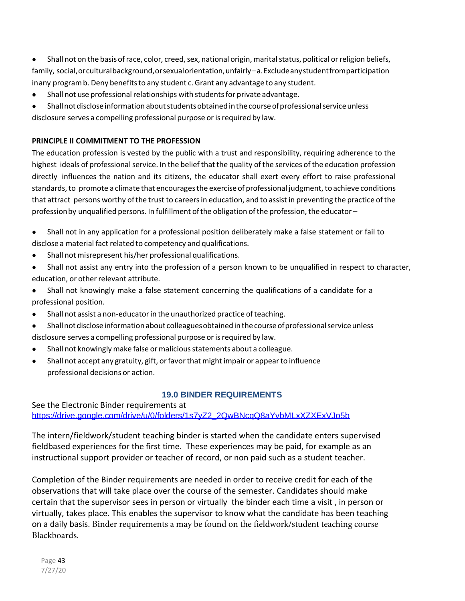- Shall not on the basis of race, color, creed, sex, national origin, marital status, political or religion beliefs, family, social,orculturalbackground,orsexualorientation,unfairly–a.Excludeanystudentfromparticipation inany programb. Deny benefitsto any student c.Grant any advantage to any student.
- Shall not use professional relationships with students for private advantage.
- Shall not disclose information about students obtained in the course of professional service unless disclosure serves a compelling professional purpose or isrequired by law.

#### **PRINCIPLE II COMMITMENT TO THE PROFESSION**

The education profession is vested by the public with a trust and responsibility, requiring adherence to the highest ideals of professional service. In the belief that the quality of the services of the education profession directly influences the nation and its citizens, the educator shall exert every effort to raise professional standards, to promote a climate that encourages the exercise of professional judgment, to achieve conditions that attract persons worthy of the trust to careers in education, and to assist in preventing the practice of the profession by unqualified persons. In fulfillment of the obligation of the profession, the educator –

- Shall not in any application for a professional position deliberately make a false statement or fail to disclose a material fact related to competency and qualifications.
- Shall not misrepresent his/her professional qualifications.
- Shall not assist any entry into the profession of a person known to be unqualified in respect to character, education, or other relevant attribute.
- Shall not knowingly make a false statement concerning the qualifications of a candidate for a professional position.
- Shall not assist a non-educator in the unauthorized practice of teaching.
- Shall not disclose information about colleagues obtained in the course of professional service unless

disclosure serves a compelling professional purpose or is required by law.

- Shall not knowinglymake false ormaliciousstatements about a colleague.
- Shall not accept any gratuity, gift, orfavorthat mightimpair or appearto influence professional decisions or action.

#### **19.0 BINDER REQUIREMENTS**

<span id="page-42-0"></span>See the Electronic Binder requirements at [https://drive.google.com/drive/u/0/folders/1s7yZ2\\_2QwBNcqQ8aYvbMLxXZXExVJo5b](https://drive.google.com/drive/u/0/folders/1s7yZ2_2QwBNcqQ8aYvbMLxXZXExVJo5b)

The intern/fieldwork/student teaching binder is started when the candidate enters supervised fieldbased experiences for the first time. These experiences may be paid, for example as an instructional support provider or teacher of record, or non paid such as a student teacher.

Completion of the Binder requirements are needed in order to receive credit for each of the observations that will take place over the course of the semester. Candidates should make certain that the supervisor sees in person or virtually the binder each time a visit , in person or virtually, takes place. This enables the supervisor to know what the candidate has been teaching on a daily basis. Binder requirements a may be found on the fieldwork/student teaching course Blackboards.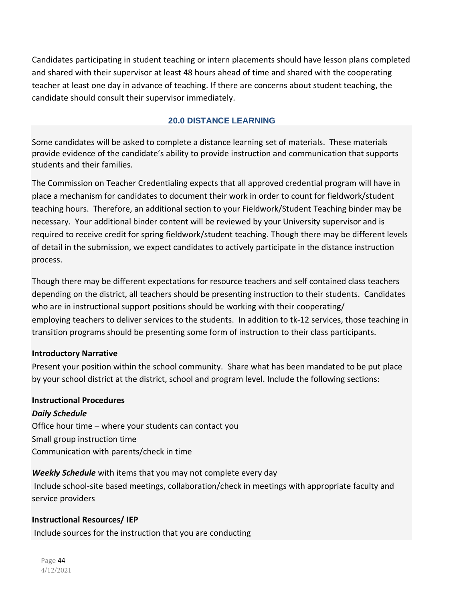Candidates participating in student teaching or intern placements should have lesson plans completed and shared with their supervisor at least 48 hours ahead of time and shared with the cooperating teacher at least one day in advance of teaching. If there are concerns about student teaching, the candidate should consult their supervisor immediately.

# **20.0 DISTANCE LEARNING**

<span id="page-43-0"></span>Some candidates will be asked to complete a distance learning set of materials. These materials provide evidence of the candidate's ability to provide instruction and communication that supports students and their families.

The Commission on Teacher Credentialing expects that all approved credential program will have in place a mechanism for candidates to document their work in order to count for fieldwork/student teaching hours. Therefore, an additional section to your Fieldwork/Student Teaching binder may be necessary. Your additional binder content will be reviewed by your University supervisor and is required to receive credit for spring fieldwork/student teaching. Though there may be different levels of detail in the submission, we expect candidates to actively participate in the distance instruction process.

Though there may be different expectations for resource teachers and self contained class teachers depending on the district, all teachers should be presenting instruction to their students. Candidates who are in instructional support positions should be working with their cooperating/ employing teachers to deliver services to the students. In addition to tk-12 services, those teaching in transition programs should be presenting some form of instruction to their class participants.

#### **Introductory Narrative**

Present your position within the school community. Share what has been mandated to be put place by your school district at the district, school and program level. Include the following sections:

#### **Instructional Procedures**

*Daily Schedule*

Office hour time – where your students can contact you Small group instruction time Communication with parents/check in time

# *Weekly Schedule* with items that you may not complete every day Include school-site based meetings, collaboration/check in meetings with appropriate faculty and service providers

**Instructional Resources/ IEP**

Include sources for the instruction that you are conducting